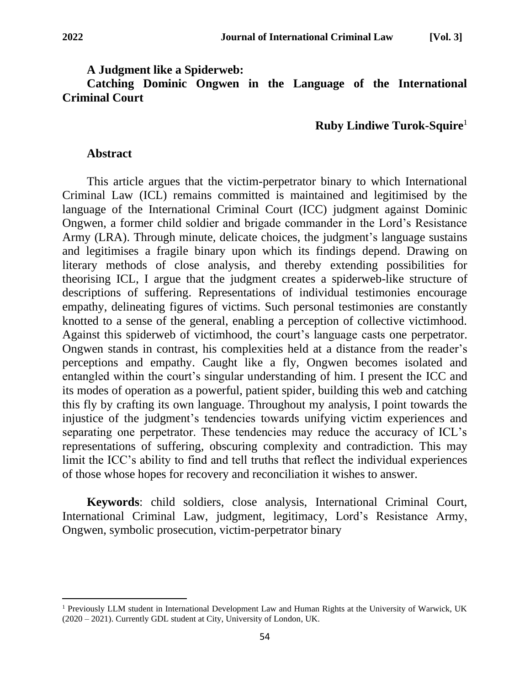### **A Judgment like a Spiderweb:**

**Catching Dominic Ongwen in the Language of the International Criminal Court**

# **Ruby Lindiwe Turok-Squire**<sup>1</sup>

### **Abstract**

This article argues that the victim-perpetrator binary to which International Criminal Law (ICL) remains committed is maintained and legitimised by the language of the International Criminal Court (ICC) judgment against Dominic Ongwen, a former child soldier and brigade commander in the Lord's Resistance Army (LRA). Through minute, delicate choices, the judgment's language sustains and legitimises a fragile binary upon which its findings depend. Drawing on literary methods of close analysis, and thereby extending possibilities for theorising ICL, I argue that the judgment creates a spiderweb-like structure of descriptions of suffering. Representations of individual testimonies encourage empathy, delineating figures of victims. Such personal testimonies are constantly knotted to a sense of the general, enabling a perception of collective victimhood. Against this spiderweb of victimhood, the court's language casts one perpetrator. Ongwen stands in contrast, his complexities held at a distance from the reader's perceptions and empathy. Caught like a fly, Ongwen becomes isolated and entangled within the court's singular understanding of him. I present the ICC and its modes of operation as a powerful, patient spider, building this web and catching this fly by crafting its own language. Throughout my analysis, I point towards the injustice of the judgment's tendencies towards unifying victim experiences and separating one perpetrator. These tendencies may reduce the accuracy of ICL's representations of suffering, obscuring complexity and contradiction. This may limit the ICC's ability to find and tell truths that reflect the individual experiences of those whose hopes for recovery and reconciliation it wishes to answer.

**Keywords**: child soldiers, close analysis, International Criminal Court, International Criminal Law, judgment, legitimacy, Lord's Resistance Army, Ongwen, symbolic prosecution, victim-perpetrator binary

<sup>&</sup>lt;sup>1</sup> Previously LLM student in International Development Law and Human Rights at the University of Warwick, UK (2020 – 2021). Currently GDL student at City, University of London, UK.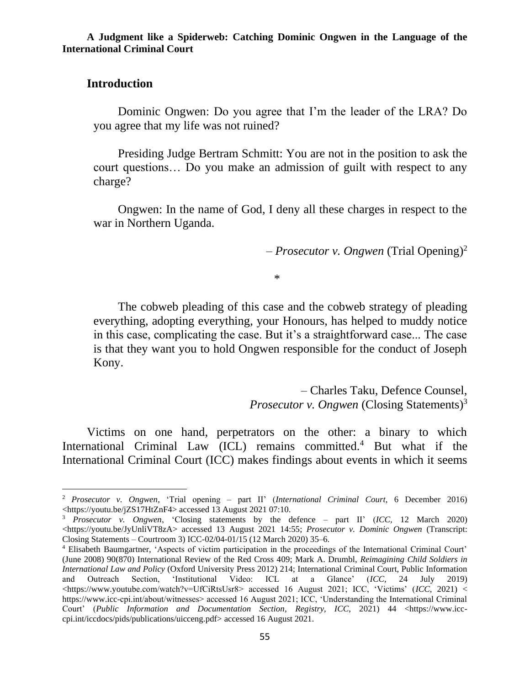# **Introduction**

Dominic Ongwen: Do you agree that I'm the leader of the LRA? Do you agree that my life was not ruined?

Presiding Judge Bertram Schmitt: You are not in the position to ask the court questions… Do you make an admission of guilt with respect to any charge?

Ongwen: In the name of God, I deny all these charges in respect to the war in Northern Uganda.

– *Prosecutor v. Ongwen* (Trial Opening) 2

\*

The cobweb pleading of this case and the cobweb strategy of pleading everything, adopting everything, your Honours, has helped to muddy notice in this case, complicating the case. But it's a straightforward case... The case is that they want you to hold Ongwen responsible for the conduct of Joseph Kony.

> – Charles Taku, Defence Counsel, *Prosecutor v. Ongwen* (Closing Statements)<sup>3</sup>

Victims on one hand, perpetrators on the other: a binary to which International Criminal Law (ICL) remains committed.<sup>4</sup> But what if the International Criminal Court (ICC) makes findings about events in which it seems

<sup>2</sup> *Prosecutor v. Ongwen*, 'Trial opening – part II' (*International Criminal Court,* 6 December 2016) <https://youtu.be/jZS17HtZnF4> accessed 13 August 2021 07:10.

<sup>3</sup> *Prosecutor v. Ongwen*, 'Closing statements by the defence – part II' (*ICC,* 12 March 2020) <https://youtu.be/JyUnliVT8zA> accessed 13 August 2021 14:55; *Prosecutor v. Dominic Ongwen* (Transcript: Closing Statements – Courtroom 3) ICC-02/04-01/15 (12 March 2020) 35–6.

<sup>4</sup> Elisabeth Baumgartner, 'Aspects of victim participation in the proceedings of the International Criminal Court' (June 2008) 90(870) International Review of the Red Cross 409; Mark A. Drumbl, *Reimagining Child Soldiers in International Law and Policy* (Oxford University Press 2012) 214; International Criminal Court, Public Information and Outreach Section, 'Institutional Video: ICL at a Glance' (*ICC,* 24 July 2019)  $\langle$ https://www.youtube.com/watch?v=UfCiRtsUsr8> accessed 16 August 2021; ICC, 'Victims' (*ICC*, 2021) < https://www.icc-cpi.int/about/witnesses> accessed 16 August 2021; ICC, 'Understanding the International Criminal Court' (*Public Information and Documentation Section, Registry, ICC*, 2021) 44 <https://www.icccpi.int/iccdocs/pids/publications/uicceng.pdf> accessed 16 August 2021.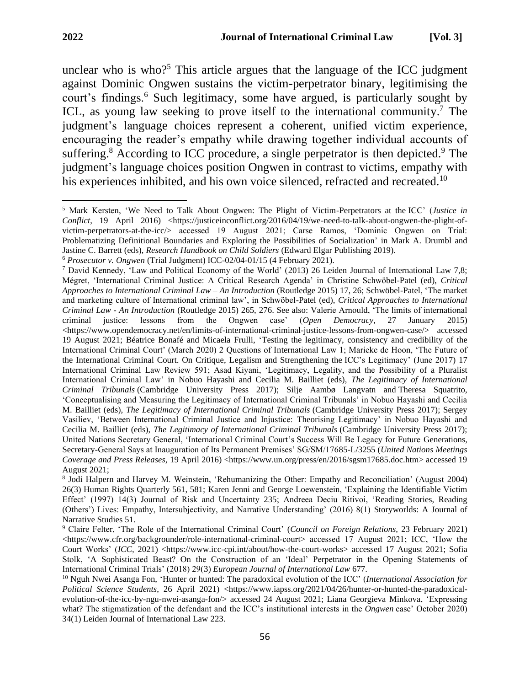unclear who is who?<sup>5</sup> This article argues that the language of the ICC judgment against Dominic Ongwen sustains the victim-perpetrator binary, legitimising the court's findings.<sup>6</sup> Such legitimacy, some have argued, is particularly sought by ICL, as young law seeking to prove itself to the international community.<sup>7</sup> The judgment's language choices represent a coherent, unified victim experience, encouraging the reader's empathy while drawing together individual accounts of suffering.<sup>8</sup> According to ICC procedure, a single perpetrator is then depicted.<sup>9</sup> The judgment's language choices position Ongwen in contrast to victims, empathy with his experiences inhibited, and his own voice silenced, refracted and recreated.<sup>10</sup>

<sup>5</sup> Mark Kersten, 'We Need to Talk About Ongwen: The Plight of Victim-Perpetrators at the ICC' (*Justice in Conflict*, 19 April 2016) <https://justiceinconflict.org/2016/04/19/we-need-to-talk-about-ongwen-the-plight-ofvictim-perpetrators-at-the-icc/> accessed 19 August 2021; Carse Ramos, 'Dominic Ongwen on Trial: Problematizing Definitional Boundaries and Exploring the Possibilities of Socialization' in Mark A. Drumbl and Jastine C. Barrett (eds), *Research Handbook on Child Soldiers* (Edward Elgar Publishing 2019).

<sup>6</sup> *Prosecutor v. Ongwen* (Trial Judgment) ICC-02/04-01/15 (4 February 2021).

<sup>7</sup> David Kennedy, 'Law and Political Economy of the World' (2013) 26 Leiden Journal of International Law 7,8; Mégret, 'International Criminal Justice: A Critical Research Agenda' in Christine Schwöbel-Patel (ed), *Critical Approaches to International Criminal Law – An Introduction* (Routledge 2015) 17, 26; Schwöbel-Patel, 'The market and marketing culture of International criminal law', in Schwöbel-Patel (ed), *Critical Approaches to International Criminal Law - An Introduction* (Routledge 2015) 265, 276. See also: Valerie Arnould, 'The limits of international criminal justice: lessons from the Ongwen case' (*Open Democracy*, 27 January 2015) <https://www.opendemocracy.net/en/limits-of-international-criminal-justice-lessons-from-ongwen-case/> accessed 19 August 2021; Béatrice Bonafé and Micaela Frulli, 'Testing the legitimacy, consistency and credibility of the International Criminal Court' (March 2020) 2 Questions of International Law 1; Marieke de Hoon, 'The Future of the International Criminal Court. On Critique, Legalism and Strengthening the ICC's Legitimacy' (June 2017) 17 International Criminal Law Review 591; Asad Kiyani, 'Legitimacy, Legality, and the Possibility of a Pluralist International Criminal Law' in Nobuo Hayashi and Cecilia M. Bailliet (eds), *The Legitimacy of International Criminal Tribunals* (Cambridge University Press 2017); Silje Aambø Langvatn and Theresa Squatrito, 'Conceptualising and Measuring the Legitimacy of International Criminal Tribunals' in Nobuo Hayashi and Cecilia M. Bailliet (eds), *The Legitimacy of International Criminal Tribunals* (Cambridge University Press 2017); Sergey Vasiliev, 'Between International Criminal Justice and Injustice: Theorising Legitimacy' in Nobuo Hayashi and Cecilia M. Bailliet (eds), *The Legitimacy of International Criminal Tribunals* (Cambridge University Press 2017); United Nations Secretary General, 'International Criminal Court's Success Will Be Legacy for Future Generations, Secretary-General Says at Inauguration of Its Permanent Premises' SG/SM/17685-L/3255 (*United Nations Meetings Coverage and Press Releases*, 19 April 2016) <https://www.un.org/press/en/2016/sgsm17685.doc.htm> accessed 19 August 2021;

<sup>8</sup> Jodi Halpern and Harvey M. Weinstein, 'Rehumanizing the Other: Empathy and Reconciliation' (August 2004) 26(3) Human Rights Quarterly 561, 581; Karen Jenni and George Loewenstein, 'Explaining the Identifiable Victim Effect' (1997) 14(3) Journal of Risk and Uncertainty 235; Andreea Deciu Ritivoi, 'Reading Stories, Reading (Others') Lives: Empathy, Intersubjectivity, and Narrative Understanding' (2016) 8(1) Storyworlds: A Journal of Narrative Studies 51.

<sup>9</sup> Claire Felter, 'The Role of the International Criminal Court' (*Council on Foreign Relations,* 23 February 2021) <https://www.cfr.org/backgrounder/role-international-criminal-court> accessed 17 August 2021; ICC, 'How the Court Works' (*ICC*, 2021) <https://www.icc-cpi.int/about/how-the-court-works> accessed 17 August 2021; Sofia Stolk, 'A Sophisticated Beast? On the Construction of an 'Ideal' Perpetrator in the Opening Statements of International Criminal Trials' (2018) 29(3) *European Journal of International Law* 677.

<sup>10</sup> Nguh Nwei Asanga Fon, 'Hunter or hunted: The paradoxical evolution of the ICC' (*International Association for Political Science Students*, 26 April 2021) <https://www.iapss.org/2021/04/26/hunter-or-hunted-the-paradoxicalevolution-of-the-icc-by-ngu-nwei-asanga-fon/> accessed 24 August 2021; Liana Georgieva Minkova, 'Expressing what? The stigmatization of the defendant and the ICC's institutional interests in the *Ongwen* case' October 2020) 34(1) Leiden Journal of International Law 223.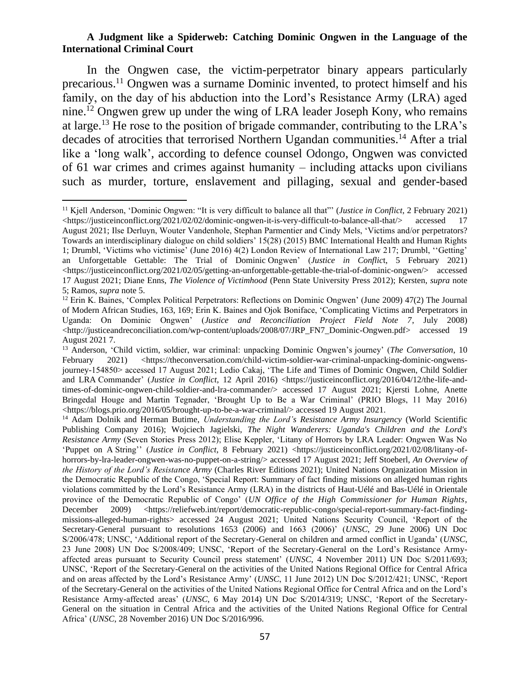In the Ongwen case, the victim-perpetrator binary appears particularly precarious.<sup>11</sup> Ongwen was a surname Dominic invented, to protect himself and his family, on the day of his abduction into the Lord's Resistance Army (LRA) aged nine. <sup>12</sup> Ongwen grew up under the wing of LRA leader Joseph Kony, who remains at large.<sup>13</sup> He rose to the position of brigade commander, contributing to the LRA's decades of atrocities that terrorised Northern Ugandan communities.<sup>14</sup> After a trial like a 'long walk', according to defence counsel Odongo, Ongwen was convicted of 61 war crimes and crimes against humanity – including attacks upon civilians such as murder, torture, enslavement and pillaging, sexual and gender-based

<sup>11</sup> Kjell Anderson, 'Dominic Ongwen: "It is very difficult to balance all that"' (*Justice in Conflict*, 2 February 2021) <https://justiceinconflict.org/2021/02/02/dominic-ongwen-it-is-very-difficult-to-balance-all-that/> accessed 17 August 2021; Ilse Derluyn, Wouter Vandenhole, Stephan Parmentier and Cindy Mels, 'Victims and/or perpetrators? Towards an interdisciplinary dialogue on child soldiers' 15(28) (2015) BMC International Health and Human Rights 1; Drumbl, 'Victims who victimise' (June 2016) 4(2) London Review of International Law 217; Drumbl, ''Getting' an Unforgettable Gettable: The Trial of Dominic Ongwen' (*Justice in Conflic*t, 5 February 2021) <https://justiceinconflict.org/2021/02/05/getting-an-unforgettable-gettable-the-trial-of-dominic-ongwen/> accessed 17 August 2021; Diane Enns, *The Violence of Victimhood* (Penn State University Press 2012); Kersten, *supra* note 5; Ramos, *supra* note 5.

<sup>&</sup>lt;sup>12</sup> Erin K. Baines, 'Complex Political Perpetrators: Reflections on Dominic Ongwen' (June 2009) 47(2) The Journal of Modern African Studies, 163, 169; Erin K. Baines and Ojok Boniface, 'Complicating Victims and Perpetrators in Uganda: On Dominic Ongwen' (*Justice and Reconciliation Project Field Note 7*, July 2008) <http://justiceandreconciliation.com/wp-content/uploads/2008/07/JRP\_FN7\_Dominic-Ongwen.pdf> accessed 19 August 2021 7.

<sup>13</sup> Anderson, 'Child victim, soldier, war criminal: unpacking Dominic Ongwen's journey' (*The Conversation*, 10 February 2021) <https://theconversation.com/child-victim-soldier-war-criminal-unpacking-dominic-ongwensjourney-154850> accessed 17 August 2021; Ledio Cakaj, 'The Life and Times of Dominic Ongwen, Child Soldier and LRA Commander' (*Justice in Conflict*, 12 April 2016) <https://justiceinconflict.org/2016/04/12/the-life-andtimes-of-dominic-ongwen-child-soldier-and-lra-commander/> accessed 17 August 2021; Kjersti Lohne, Anette Bringedal Houge and Martin Tegnader, 'Brought Up to Be a War Criminal' (PRIO Blogs, 11 May 2016) <https://blogs.prio.org/2016/05/brought-up-to-be-a-war-criminal/> accessed 19 August 2021.

<sup>14</sup> Adam Dolnik and Herman Butime, *Understanding the Lord's Resistance Army Insurgency* (World Scientific Publishing Company 2016); Wojciech Jagielski, *The Night Wanderers: Uganda's Children and the Lord's Resistance Army* (Seven Stories Press 2012); Elise Keppler, 'Litany of Horrors by LRA Leader: Ongwen Was No 'Puppet on A String'' (*Justice in Conflict*, 8 February 2021) <https://justiceinconflict.org/2021/02/08/litany-ofhorrors-by-lra-leader-ongwen-was-no-puppet-on-a-string/> accessed 17 August 2021; Jeff Stoeberl, *An Overview of the History of the Lord's Resistance Army* (Charles River Editions 2021); United Nations Organization Mission in the Democratic Republic of the Congo, 'Special Report: Summary of fact finding missions on alleged human rights violations committed by the Lord's Resistance Army (LRA) in the districts of Haut-Uélé and Bas-Uélé in Orientale province of the Democratic Republic of Congo' (*UN Office of the High Commissioner for Human Rights*, December 2009) <https://reliefweb.int/report/democratic-republic-congo/special-report-summary-fact-findingmissions-alleged-human-rights> accessed 24 August 2021; United Nations Security Council, 'Report of the Secretary-General pursuant to resolutions 1653 (2006) and 1663 (2006)' (*UNSC*, 29 June 2006) UN Doc S/2006/478; UNSC, 'Additional report of the Secretary-General on children and armed conflict in Uganda' (*UNSC*, 23 June 2008) UN Doc S/2008/409; UNSC, 'Report of the Secretary-General on the Lord's Resistance Armyaffected areas pursuant to Security Council press statement' (*UNSC*, 4 November 2011) UN Doc S/2011/693; UNSC, 'Report of the Secretary-General on the activities of the United Nations Regional Office for Central Africa and on areas affected by the Lord's Resistance Army' (*UNSC*, 11 June 2012) UN Doc S/2012/421; UNSC, 'Report of the Secretary-General on the activities of the United Nations Regional Office for Central Africa and on the Lord's Resistance Army-affected areas' (*UNSC*, 6 May 2014) UN Doc S/2014/319; UNSC, 'Report of the Secretary-General on the situation in Central Africa and the activities of the United Nations Regional Office for Central Africa' (*UNSC*, 28 November 2016) UN Doc S/2016/996.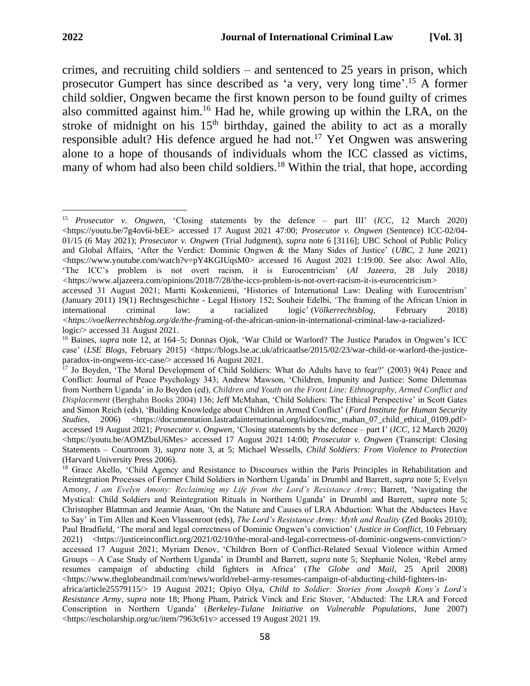crimes, and recruiting child soldiers – and sentenced to 25 years in prison, which prosecutor Gumpert has since described as 'a very, very long time'.<sup>15</sup> A former child soldier, Ongwen became the first known person to be found guilty of crimes also committed against him.<sup>16</sup> Had he, while growing up within the LRA, on the stroke of midnight on his  $15<sup>th</sup>$  birthday, gained the ability to act as a morally responsible adult? His defence argued he had not.<sup>17</sup> Yet Ongwen was answering alone to a hope of thousands of individuals whom the ICC classed as victims, many of whom had also been child soldiers.<sup>18</sup> Within the trial, that hope, according

logic/> accessed 31 August 2021.

<sup>15</sup> *Prosecutor v. Ongwen*, 'Closing statements by the defence – part III' (*ICC,* 12 March 2020)  $\lt$ https://youtu.be/7g4ov6i-bEE> accessed 17 August 2021 47:00; *Prosecutor v. Ongwen* (Sentence) ICC-02/04-01/15 (6 May 2021); *Prosecutor v. Ongwen* (Trial Judgment), *supra* note 6 [3116]; UBC School of Public Policy and Global Affairs, 'After the Verdict: Dominic Ongwen & the Many Sides of Justice' (*UBC,* 2 June 2021)  $\lt$ https://www.youtube.com/watch?v=pY4KGIUqsM0> accessed 16 August 2021 1:19:00. See also: Awol Allo, 'The ICC's problem is not overt racism, it is Eurocentricism' (*Al Jazeera,* 28 July 2018*) <*https://www.aljazeera.com/opinions/2018/7/28/the-iccs-problem-is-not-overt-racism-it-is-eurocentricism*>*  accessed 31 August 2021; Martti Koskenniemi, 'Histories of International Law: Dealing with Eurocentrism' (January 2011) 19(1) Rechtsgeschichte - Legal History 152; Souheir Edelbi, 'The framing of the African Union in international criminal law: a racialized logic' (*Völkerrechtsblog,* February 2018) *<https://voelkerrechtsblog.org/de/the-fr*aming-of-the-african-union-in-international-criminal-law-a-racialized-

<sup>&</sup>lt;sup>16</sup> Baines, *supra* note 12, at 164–5; Donnas Ojok, 'War Child or Warlord? The Justice Paradox in Ongwen's ICC case' (*LSE Blogs*, February 2015) <https://blogs.lse.ac.uk/africaatlse/2015/02/23/war-child-or-warlord-the-justiceparadox-in-ongwens-icc-case/> accessed 16 August 2021.

<sup>&</sup>lt;sup>17</sup> Jo Boyden, 'The Moral Development of Child Soldiers: What do Adults have to fear?' (2003) 9(4) Peace and Conflict: Journal of Peace Psychology 343; Andrew Mawson, 'Children, Impunity and Justice: Some Dilemmas from Northern Uganda' in Jo Boyden (ed), *Children and Youth on the Front Line: Ethnography, Armed Conflict and Displacement* (Berghahn Books 2004) 136; Jeff McMahan, 'Child Soldiers: The Ethical Perspective' in Scott Gates and Simon Reich (eds), 'Building Knowledge about Children in Armed Conflict' (*Ford Institute for Human Security Studies*, 2006) <https://documentation.lastradainternational.org/lsidocs/mc\_mahan\_07\_child\_ethical\_0109.pdf> accessed 19 August 2021; *Prosecutor v. Ongwen*, 'Closing statements by the defence – part I' (*ICC*, 12 March 2020) <https://youtu.be/AOMZbuU6Mes> accessed 17 August 2021 14:00; *Prosecutor v. Ongwen* (Transcript: Closing Statements – Courtroom 3), *supra* note 3, at 5; Michael Wessells, *Child Soldiers: From Violence to Protection* (Harvard University Press 2006).

<sup>&</sup>lt;sup>18</sup> Grace Akello, 'Child Agency and Resistance to Discourses within the Paris Principles in Rehabilitation and Reintegration Processes of Former Child Soldiers in Northern Uganda' in Drumbl and Barrett, *supra* note 5; Evelyn Amony, *I am Evelyn Amony: Reclaiming my Life from the Lord's Resistance Army*; Barrett, 'Navigating the Mystical: Child Soldiers and Reintegration Rituals in Northern Uganda' in Drumbl and Barrett, *supra* note 5; Christopher Blattman and Jeannie Anan, 'On the Nature and Causes of LRA Abduction: What the Abductees Have to Say' in Tim Allen and Koen Vlassenroot (eds), *The Lord's Resistance Army: Myth and Reality* (Zed Books 2010); Paul Bradfield, 'The moral and legal correctness of Dominic Ongwen's conviction' (*Justice in Conflict*, 10 February 2021) <https://justiceinconflict.org/2021/02/10/the-moral-and-legal-correctness-of-dominic-ongwens-conviction/> accessed 17 August 2021; Myriam Denov, 'Children Born of Conflict-Related Sexual Violence within Armed Groups – A Case Study of Northern Uganda' in Drumbl and Barrett, *supra* note 5; Stephanie Nolen, 'Rebel army resumes campaign of abducting child fighters in Africa' (*The Globe and Mail*, 25 April 2008)  $\lt$ https://www.theglobeandmail.com/news/world/rebel-army-resumes-campaign-of-abducting-child-fighters-in-

africa/article25579115/> 19 August 2021; Opiyo Olya, *Child to Soldier: Stories from Joseph Kony's Lord's Resistance Army, supra* note 18; Phong Pham, Patrick Vinck and Eric Stover, 'Abducted: The LRA and Forced Conscription in Northern Uganda' (*Berkeley-Tulane Initiative on Vulnerable Populations*, June 2007) <https://escholarship.org/uc/item/7963c61v> accessed 19 August 2021 19.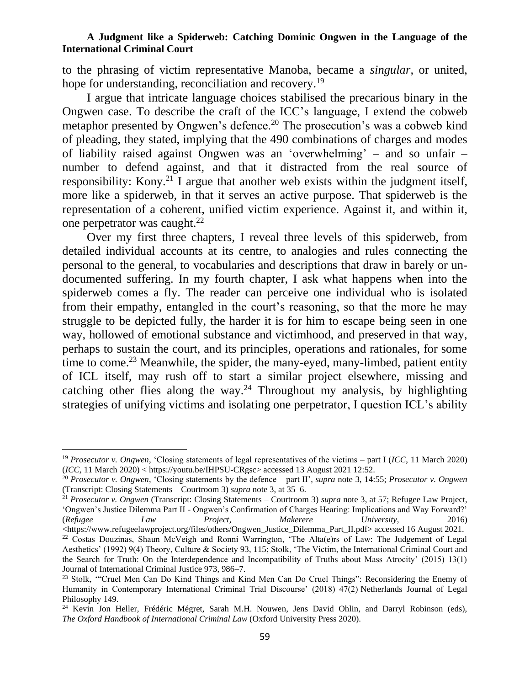to the phrasing of victim representative Manoba, became a *singular*, or united, hope for understanding, reconciliation and recovery.<sup>19</sup>

I argue that intricate language choices stabilised the precarious binary in the Ongwen case. To describe the craft of the ICC's language, I extend the cobweb metaphor presented by Ongwen's defence.<sup>20</sup> The prosecution's was a cobweb kind of pleading, they stated, implying that the 490 combinations of charges and modes of liability raised against Ongwen was an 'overwhelming' – and so unfair – number to defend against, and that it distracted from the real source of responsibility: Kony.<sup>21</sup> I argue that another web exists within the judgment itself, more like a spiderweb, in that it serves an active purpose. That spiderweb is the representation of a coherent, unified victim experience. Against it, and within it, one perpetrator was caught.<sup>22</sup>

Over my first three chapters, I reveal three levels of this spiderweb, from detailed individual accounts at its centre, to analogies and rules connecting the personal to the general, to vocabularies and descriptions that draw in barely or undocumented suffering. In my fourth chapter, I ask what happens when into the spiderweb comes a fly. The reader can perceive one individual who is isolated from their empathy, entangled in the court's reasoning, so that the more he may struggle to be depicted fully, the harder it is for him to escape being seen in one way, hollowed of emotional substance and victimhood, and preserved in that way, perhaps to sustain the court, and its principles, operations and rationales, for some time to come.<sup>23</sup> Meanwhile, the spider, the many-eyed, many-limbed, patient entity of ICL itself, may rush off to start a similar project elsewhere, missing and catching other flies along the way.<sup>24</sup> Throughout my analysis, by highlighting strategies of unifying victims and isolating one perpetrator, I question ICL's ability

<sup>19</sup> *Prosecutor v. Ongwen*, 'Closing statements of legal representatives of the victims – part I (*ICC*, 11 March 2020) (*ICC,* 11 March 2020) < https://youtu.be/IHPSU-CRgsc> accessed 13 August 2021 12:52.

<sup>20</sup> *Prosecutor v. Ongwen*, 'Closing statements by the defence – part II', *supra* note 3, 14:55; *Prosecutor v. Ongwen* (Transcript: Closing Statements – Courtroom 3) *supra* note 3, at 35–6.

<sup>21</sup> *Prosecutor v. Ongwen* (Transcript: Closing Statements – Courtroom 3) *supra* note 3, at 57; Refugee Law Project, 'Ongwen's Justice Dilemma Part II - Ongwen's Confirmation of Charges Hearing: Implications and Way Forward?' (*Refugee Law Project*, *Makerere University*, 2016) <https://www.refugeelawproject.org/files/others/Ongwen\_Justice\_Dilemma\_Part\_II.pdf> accessed 16 August 2021.

<sup>&</sup>lt;sup>22</sup> Costas Douzinas, Shaun McVeigh and Ronni Warrington, 'The Alta(e)rs of Law: The Judgement of Legal Aesthetics' (1992) 9(4) Theory, Culture & Society 93, 115; Stolk, 'The Victim, the International Criminal Court and the Search for Truth: On the Interdependence and Incompatibility of Truths about Mass Atrocity' (2015) 13(1) Journal of International Criminal Justice 973, 986–7.

<sup>&</sup>lt;sup>23</sup> Stolk, "Cruel Men Can Do Kind Things and Kind Men Can Do Cruel Things": Reconsidering the Enemy of Humanity in Contemporary International Criminal Trial Discourse' (2018) 47(2) Netherlands Journal of Legal Philosophy 149.

<sup>&</sup>lt;sup>24</sup> Kevin Jon Heller, Frédéric Mégret, Sarah M.H. Nouwen, Jens David Ohlin, and Darryl Robinson (eds), *The Oxford Handbook of International Criminal Law* (Oxford University Press 2020).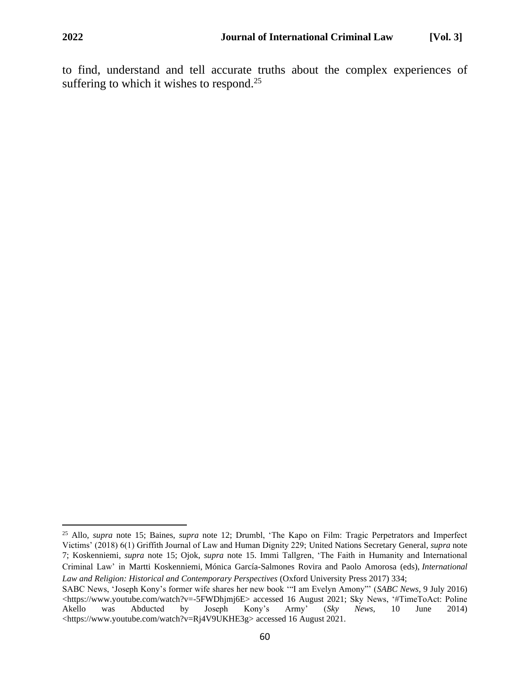to find, understand and tell accurate truths about the complex experiences of suffering to which it wishes to respond.<sup>25</sup>

<sup>25</sup> Allo, *supra* note 15; Baines, *supra* note 12; Drumbl, 'The Kapo on Film: Tragic Perpetrators and Imperfect Victims' (2018) 6(1) Griffith Journal of Law and Human Dignity 229; United Nations Secretary General, *supra* note 7; Koskenniemi, *supra* note 15; Ojok, *supra* note 15. Immi Tallgren, 'The Faith in Humanity and International Criminal Law' in Martti Koskenniemi, Mónica García-Salmones Rovira and Paolo Amorosa (eds), *International Law and Religion: Historical and Contemporary Perspectives* (Oxford University Press 2017) 334;

SABC News, 'Joseph Kony's former wife shares her new book '"I am Evelyn Amony"' (*SABC News*, 9 July 2016) <https://www.youtube.com/watch?v=-5FWDhjmj6E> accessed 16 August 2021; Sky News, '#TimeToAct: Poline Akello was Abducted by Joseph Kony's Army' (*Sky News*, 10 June 2014) <https://www.youtube.com/watch?v=Rj4V9UKHE3g> accessed 16 August 2021.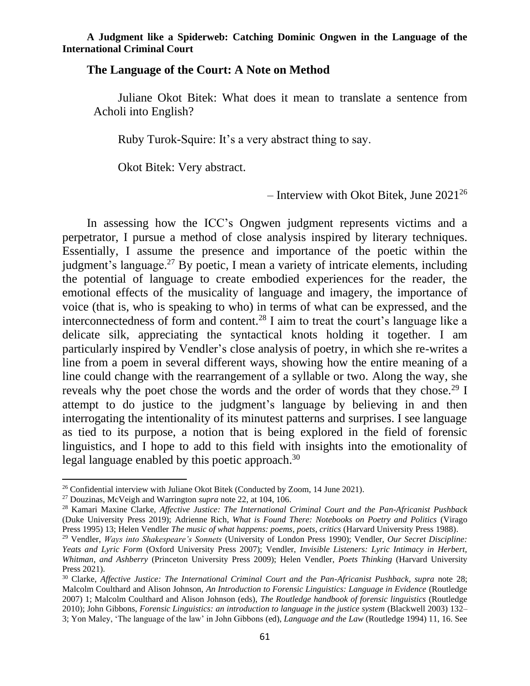### **The Language of the Court: A Note on Method**

Juliane Okot Bitek: What does it mean to translate a sentence from Acholi into English?

Ruby Turok-Squire: It's a very abstract thing to say.

Okot Bitek: Very abstract.

– Interview with Okot Bitek, June 2021<sup>26</sup>

In assessing how the ICC's Ongwen judgment represents victims and a perpetrator, I pursue a method of close analysis inspired by literary techniques. Essentially, I assume the presence and importance of the poetic within the judgment's language.<sup>27</sup> By poetic, I mean a variety of intricate elements, including the potential of language to create embodied experiences for the reader, the emotional effects of the musicality of language and imagery, the importance of voice (that is, who is speaking to who) in terms of what can be expressed, and the interconnectedness of form and content.<sup>28</sup> I aim to treat the court's language like a delicate silk, appreciating the syntactical knots holding it together. I am particularly inspired by Vendler's close analysis of poetry, in which she re-writes a line from a poem in several different ways, showing how the entire meaning of a line could change with the rearrangement of a syllable or two. Along the way, she reveals why the poet chose the words and the order of words that they chose.<sup>29</sup> I attempt to do justice to the judgment's language by believing in and then interrogating the intentionality of its minutest patterns and surprises. I see language as tied to its purpose, a notion that is being explored in the field of forensic linguistics, and I hope to add to this field with insights into the emotionality of legal language enabled by this poetic approach.<sup>30</sup>

<sup>&</sup>lt;sup>26</sup> Confidential interview with Juliane Okot Bitek (Conducted by Zoom, 14 June 2021).

<sup>27</sup> Douzinas, McVeigh and Warrington *supra* note 22, at 104, 106.

<sup>28</sup> Kamari Maxine Clarke, *Affective Justice: The International Criminal Court and the Pan-Africanist Pushback* (Duke University Press 2019); Adrienne Rich, *What is Found There: Notebooks on Poetry and Politics* (Virago Press 1995) 13; Helen Vendler *The music of what happens: poems, poets, critics* (Harvard University Press 1988).

<sup>29</sup> Vendler, *Ways into Shakespeare's Sonnets* (University of London Press 1990); Vendler, *Our Secret Discipline: Yeats and Lyric Form* (Oxford University Press 2007); Vendler, *Invisible Listeners: Lyric Intimacy in Herbert, Whitman, and Ashberry* (Princeton University Press 2009); Helen Vendler, *Poets Thinking* (Harvard University Press 2021).

<sup>&</sup>lt;sup>30</sup> Clarke, *Affective Justice: The International Criminal Court and the Pan-Africanist Pushback, supra note 28*; Malcolm Coulthard and Alison Johnson, *An Introduction to Forensic Linguistics: Language in Evidence* (Routledge 2007) 1; Malcolm Coulthard and Alison Johnson (eds), *The Routledge handbook of forensic linguistics* (Routledge 2010); John Gibbons, *Forensic Linguistics: an introduction to language in the justice system* (Blackwell 2003) 132– 3; Yon Maley, 'The language of the law' in John Gibbons (ed), *Language and the Law* (Routledge 1994) 11, 16. See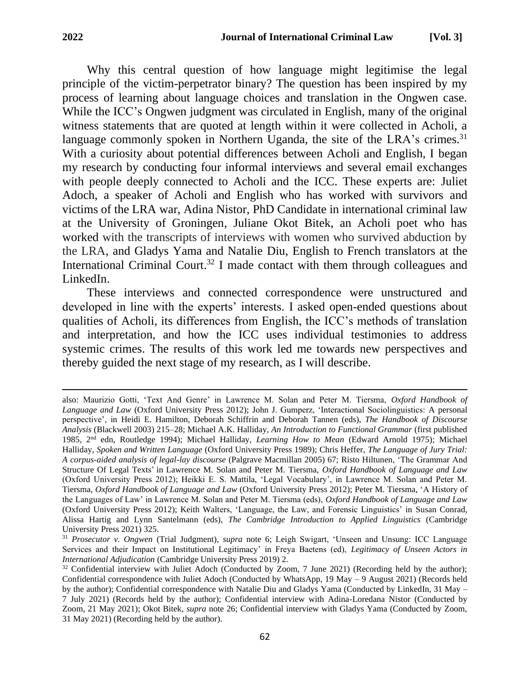Why this central question of how language might legitimise the legal principle of the victim-perpetrator binary? The question has been inspired by my process of learning about language choices and translation in the Ongwen case. While the ICC's Ongwen judgment was circulated in English, many of the original witness statements that are quoted at length within it were collected in Acholi, a language commonly spoken in Northern Uganda, the site of the LRA's crimes.<sup>31</sup> With a curiosity about potential differences between Acholi and English, I began my research by conducting four informal interviews and several email exchanges with people deeply connected to Acholi and the ICC. These experts are: Juliet Adoch, a speaker of Acholi and English who has worked with survivors and victims of the LRA war, Adina Nistor, PhD Candidate in international criminal law at the University of Groningen, Juliane Okot Bitek, an Acholi poet who has worked with the transcripts of interviews with women who survived abduction by the LRA, and Gladys Yama and Natalie Diu, English to French translators at the International Criminal Court.<sup>32</sup> I made contact with them through colleagues and LinkedIn.

These interviews and connected correspondence were unstructured and developed in line with the experts' interests. I asked open-ended questions about qualities of Acholi, its differences from English, the ICC's methods of translation and interpretation, and how the ICC uses individual testimonies to address systemic crimes. The results of this work led me towards new perspectives and thereby guided the next stage of my research, as I will describe.

also: Maurizio Gotti, 'Text And Genre' in Lawrence M. Solan and Peter M. Tiersma, *Oxford Handbook of Language and Law* (Oxford University Press 2012); John J. Gumperz, 'Interactional Sociolinguistics: A personal perspective', in Heidi E. Hamilton, Deborah Schiffrin and Deborah Tannen (eds), *The Handbook of Discourse Analysis* (Blackwell 2003) 215–28; Michael A.K. Halliday, *An Introduction to Functional Grammar* (first published 1985, 2nd edn, Routledge 1994); Michael Halliday, *Learning How to Mean* (Edward Arnold 1975); Michael Halliday, *Spoken and Written Language* (Oxford University Press 1989); Chris Heffer, *The Language of Jury Trial: A corpus-aided analysis of legal-lay discourse* (Palgrave Macmillan 2005) 67; Risto Hiltunen, 'The Grammar And Structure Of Legal Texts' in Lawrence M. Solan and Peter M. Tiersma, *Oxford Handbook of Language and Law* (Oxford University Press 2012); Heikki E. S. Mattila, 'Legal Vocabulary', in Lawrence M. Solan and Peter M. Tiersma, *Oxford Handbook of Language and Law* (Oxford University Press 2012); Peter M. Tiersma, 'A History of the Languages of Law' in Lawrence M. Solan and Peter M. Tiersma (eds), *Oxford Handbook of Language and Law* (Oxford University Press 2012); Keith Walters, 'Language, the Law, and Forensic Linguistics' in Susan Conrad, Alissa Hartig and Lynn Santelmann (eds), *The Cambridge Introduction to Applied Linguistics* (Cambridge University Press 2021) 325.

<sup>31</sup> *Prosecutor v. Ongwen* (Trial Judgment), *supra* note 6; Leigh Swigart, 'Unseen and Unsung: ICC Language Services and their Impact on Institutional Legitimacy' in Freya Baetens (ed), *Legitimacy of Unseen Actors in International Adjudication* (Cambridge University Press 2019) 2.

<sup>&</sup>lt;sup>32</sup> Confidential interview with Juliet Adoch (Conducted by Zoom, 7 June 2021) (Recording held by the author); Confidential correspondence with Juliet Adoch (Conducted by WhatsApp, 19 May – 9 August 2021) (Records held by the author); Confidential correspondence with Natalie Diu and Gladys Yama (Conducted by LinkedIn, 31 May – 7 July 2021) (Records held by the author); Confidential interview with Adina-Loredana Nistor (Conducted by Zoom, 21 May 2021); Okot Bitek, *supra* note 26; Confidential interview with Gladys Yama (Conducted by Zoom, 31 May 2021) (Recording held by the author).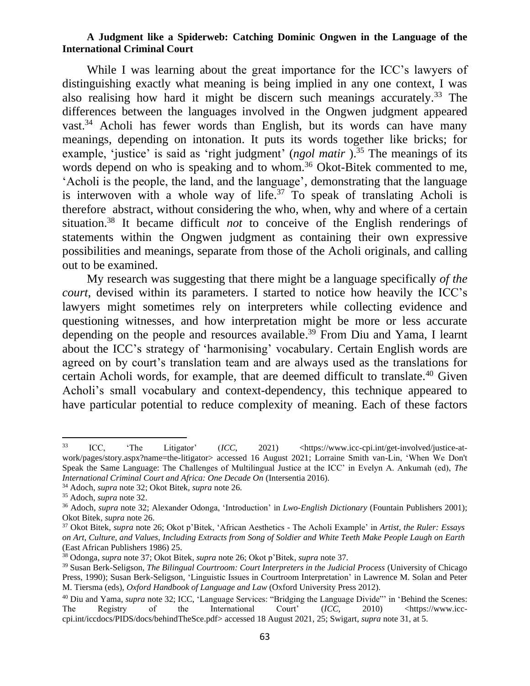While I was learning about the great importance for the ICC's lawyers of distinguishing exactly what meaning is being implied in any one context, I was also realising how hard it might be discern such meanings accurately.<sup>33</sup> The differences between the languages involved in the Ongwen judgment appeared vast.<sup>34</sup> Acholi has fewer words than English, but its words can have many meanings, depending on intonation. It puts its words together like bricks; for example, 'justice' is said as 'right judgment' (*ngol matir*).<sup>35</sup> The meanings of its words depend on who is speaking and to whom.<sup>36</sup> Okot-Bitek commented to me, 'Acholi is the people, the land, and the language', demonstrating that the language is interwoven with a whole way of life.<sup>37</sup> To speak of translating Acholi is therefore abstract, without considering the who, when, why and where of a certain situation. <sup>38</sup> It became difficult *not* to conceive of the English renderings of statements within the Ongwen judgment as containing their own expressive possibilities and meanings, separate from those of the Acholi originals, and calling out to be examined.

My research was suggesting that there might be a language specifically *of the court*, devised within its parameters. I started to notice how heavily the ICC's lawyers might sometimes rely on interpreters while collecting evidence and questioning witnesses, and how interpretation might be more or less accurate depending on the people and resources available. <sup>39</sup> From Diu and Yama, I learnt about the ICC's strategy of 'harmonising' vocabulary. Certain English words are agreed on by court's translation team and are always used as the translations for certain Acholi words, for example, that are deemed difficult to translate.<sup>40</sup> Given Acholi's small vocabulary and context-dependency, this technique appeared to have particular potential to reduce complexity of meaning. Each of these factors

<sup>&</sup>lt;sup>33</sup> ICC, 'The Litigator' (*ICC*, 2021) <https://www.icc-cpi.int/get-involved/justice-atwork/pages/story.aspx?name=the-litigator> accessed 16 August 2021; Lorraine Smith van-Lin, 'When We Don't Speak the Same Language: The Challenges of Multilingual Justice at the ICC' in Evelyn A. Ankumah (ed), *The International Criminal Court and Africa: One Decade On* (Intersentia 2016).

<sup>34</sup> Adoch, *supra* note 32; Okot Bitek, *supra* note 26.

<sup>35</sup> Adoch, *supra* note 32.

<sup>36</sup> Adoch, *supra* note 32; Alexander Odonga, 'Introduction' in *Lwo-English Dictionary* (Fountain Publishers 2001); Okot Bitek, *supra* note 26.

<sup>37</sup> Okot Bitek, *supra* note 26; Okot p'Bitek, 'African Aesthetics - The Acholi Example' in *Artist, the Ruler: Essays on Art, Culture, and Values, Including Extracts from Song of Soldier and White Teeth Make People Laugh on Earth* (East African Publishers 1986) 25.

<sup>38</sup> Odonga, *supra* note 37; Okot Bitek, *supra* note 26; Okot p'Bitek, *supra* note 37.

<sup>39</sup> Susan Berk-Seligson, *The Bilingual Courtroom: Court Interpreters in the Judicial Process* (University of Chicago Press, 1990); Susan Berk-Seligson, 'Linguistic Issues in Courtroom Interpretation' in Lawrence M. Solan and Peter M. Tiersma (eds), *Oxford Handbook of Language and Law* (Oxford University Press 2012).

<sup>&</sup>lt;sup>40</sup> Diu and Yama, *supra* note 32; ICC, 'Language Services: "Bridging the Language Divide"' in 'Behind the Scenes:<br>The Registry of the International Court' (ICC, 2010) <https://www.icc-The Registry of the International Court' (*ICC*, 2010) <https://www.icccpi.int/iccdocs/PIDS/docs/behindTheSce.pdf> accessed 18 August 2021, 25; Swigart, *supra* note 31, at 5.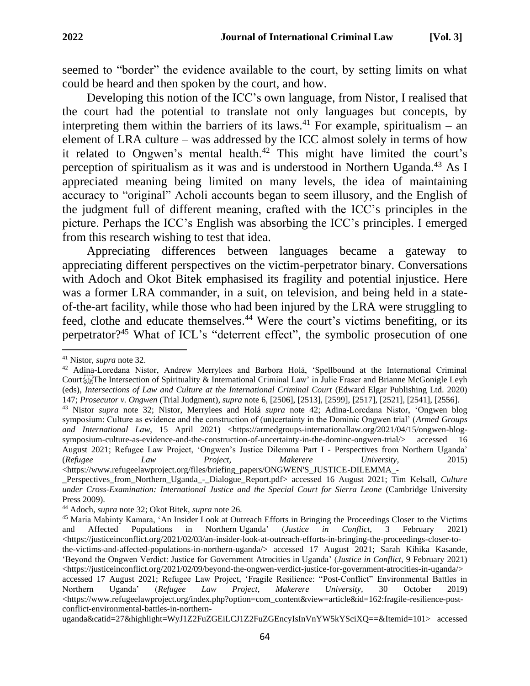seemed to "border" the evidence available to the court, by setting limits on what could be heard and then spoken by the court, and how.

Developing this notion of the ICC's own language, from Nistor, I realised that the court had the potential to translate not only languages but concepts, by interpreting them within the barriers of its laws.<sup>41</sup> For example, spiritualism – an element of LRA culture – was addressed by the ICC almost solely in terms of how it related to Ongwen's mental health.<sup>42</sup> This might have limited the court's perception of spiritualism as it was and is understood in Northern Uganda.<sup>43</sup> As I appreciated meaning being limited on many levels, the idea of maintaining accuracy to "original" Acholi accounts began to seem illusory, and the English of the judgment full of different meaning, crafted with the ICC's principles in the picture. Perhaps the ICC's English was absorbing the ICC's principles. I emerged from this research wishing to test that idea.

Appreciating differences between languages became a gateway to appreciating different perspectives on the victim-perpetrator binary. Conversations with Adoch and Okot Bitek emphasised its fragility and potential injustice. Here was a former LRA commander, in a suit, on television, and being held in a stateof-the-art facility, while those who had been injured by the LRA were struggling to feed, clothe and educate themselves.<sup>44</sup> Were the court's victims benefiting, or its perpetrator?<sup>45</sup> What of ICL's "deterrent effect", the symbolic prosecution of one

<sup>41</sup> Nistor, *supra* note 32.

<sup>42</sup> Adina-Loredana Nistor, Andrew Merrylees and Barbora Holá, 'Spellbound at the International Criminal Court: EPThe Intersection of Spirituality & International Criminal Law' in Julie Fraser and Brianne McGonigle Leyh (eds), *Intersections of Law and Culture at the International Criminal Court* (Edward Elgar Publishing Ltd. 2020) 147; *Prosecutor v. Ongwen* (Trial Judgment)*, supra* note 6, [2506], [2513], [2599], [2517], [2521], [2541], [2556].

<sup>43</sup> Nistor *supra* note 32; Nistor, Merrylees and Holá *supra* note 42; Adina-Loredana Nistor, 'Ongwen blog symposium: Culture as evidence and the construction of (un)certainty in the Dominic Ongwen trial' (*Armed Groups and International Law*, 15 April 2021) <https://armedgroups-internationallaw.org/2021/04/15/ongwen-blogsymposium-culture-as-evidence-and-the-construction-of-uncertainty-in-the-dominc-ongwen-trial/> accessed 16 August 2021; Refugee Law Project, 'Ongwen's Justice Dilemma Part I - Perspectives from Northern Uganda' (*Refugee Law Project, Makerere University*, 2015) <https://www.refugeelawproject.org/files/briefing\_papers/ONGWEN'S\_JUSTICE-DILEMMA\_-

\_Perspectives\_from\_Northern\_Uganda\_-\_Dialogue\_Report.pdf> accessed 16 August 2021; Tim Kelsall, *Culture under Cross-Examination: International Justice and the Special Court for Sierra Leone* (Cambridge University Press 2009).

<sup>44</sup> Adoch, *supra* note 32; Okot Bitek, *supra* note 26.

<sup>45</sup> Maria Mabinty Kamara, ['An](https://justiceinconflict.org/2021/02/03/an-insider-look-at-outreach-efforts-in-bringing-the-proceedings-closer-to-the-victims-and-affected-populations-in-northern-uganda/) Insider Look at Outreach Efforts in Bringing the Proceedings Closer to the Victims and Affected Populations in Northern Ugan[da'](https://justiceinconflict.org/2021/02/03/an-insider-look-at-outreach-efforts-in-bringing-the-proceedings-closer-to-the-victims-and-affected-populations-in-northern-uganda/) (*Justice in Conflict*, 3 February 2021)  $\langle$ https://justiceinconflict.org/2021/02/03/an-insider-look-at-outreach-efforts-in-bringing-the-proceedings-closer-tothe-victims-and-affected-populations-in-northern-uganda/> accessed 17 August 2021; Sarah Kihika Kasande, 'Beyond the Ongwen Verdict: Justice for Government Atrocities in Uganda' (*Justice in Conflict*, 9 February 2021)  $\langle$ https://justiceinconflict.org/2021/02/09/beyond-the-ongwen-verdict-justice-for-government-atrocities-in-uganda/> accessed 17 August 2021; Refugee Law Project, 'Fragile Resilience: "Post-Conflict" Environmental Battles in Northern Uganda' (*Refugee Law Project*, *Makerere University,* 30 October 2019)  $\langle$ https://www.refugeelawproject.org/index.php?option=com\_content&view=article&id=162:fragile-resilience-postconflict-environmental-battles-in-northern-

uganda&catid=27&highlight=WyJ1Z2FuZGEiLCJ1Z2FuZGEncyIsInVnYW5kYSciXQ==&Itemid=101> accessed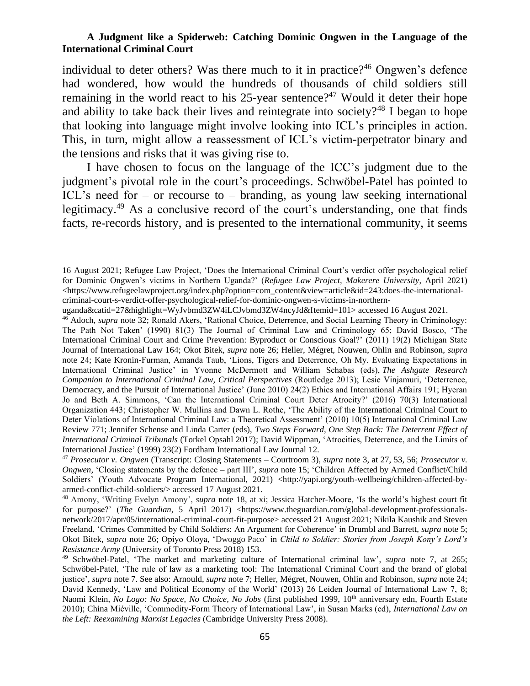individual to deter others? Was there much to it in practice?<sup>46</sup> Ongwen's defence had wondered, how would the hundreds of thousands of child soldiers still remaining in the world react to his  $25$ -year sentence?<sup>47</sup> Would it deter their hope and ability to take back their lives and reintegrate into society?<sup>48</sup> I began to hope that looking into language might involve looking into ICL's principles in action. This, in turn, might allow a reassessment of ICL's victim-perpetrator binary and the tensions and risks that it was giving rise to.

I have chosen to focus on the language of the ICC's judgment due to the judgment's pivotal role in the court's proceedings. Schwöbel-Patel has pointed to ICL's need for – or recourse to – branding, as young law seeking international legitimacy.<sup>49</sup> As a conclusive record of the court's understanding, one that finds facts, re-records history, and is presented to the international community, it seems

uganda&catid=27&highlight=WyJvbmd3ZW4iLCJvbmd3ZW4ncyJd&Itemid=101> accessed 16 August 2021.

<sup>16</sup> August 2021; Refugee Law Project, 'Does the International Criminal Court's verdict offer psychological relief for Dominic Ongwen's victims in Northern Uganda?' (*Refugee Law Project, Makerere University*, April 2021)  $\lt$ https://www.refugeelawproject.org/index.php?option=com\_content&view=article&id=243:does-the-internationalcriminal-court-s-verdict-offer-psychological-relief-for-dominic-ongwen-s-victims-in-northern-

<sup>46</sup> Adoch, *supra* note 32; Ronald Akers, 'Rational Choice, Deterrence, and Social Learning Theory in Criminology: The Path Not Taken' (1990) 81(3) The Journal of Criminal Law and Criminology 65; David Bosco, 'The International Criminal Court and Crime Prevention: Byproduct or Conscious Goal?' (2011) 19(2) Michigan State Journal of International Law 164; Okot Bitek, *supra* note 26; Heller, Mégret, Nouwen, Ohlin and Robinson, *supra* note 24; Kate Kronin-Furman, Amanda Taub, 'Lions, Tigers and Deterrence, Oh My. Evaluating Expectations in International Criminal Justice' in Yvonne McDermott and William Schabas (eds), *The Ashgate Research Companion to International Criminal Law, Critical Perspectives* (Routledge 2013); Lesie Vinjamuri, 'Deterrence, Democracy, and the Pursuit of International Justice' (June 2010) 24(2) Ethics and International Affairs 191; Hyeran Jo and Beth A. Simmons, 'Can the International Criminal Court Deter Atrocity?' (2016) 70(3) International Organization 443; Christopher W. Mullins and Dawn L. Rothe, 'The Ability of the International Criminal Court to Deter Violations of International Criminal Law: a Theoretical Assessment' (2010) 10(5) International Criminal Law Review 771; Jennifer Schense and Linda Carter (eds), *Two Steps Forward, One Step Back: The Deterrent Effect of International Criminal Tribunals* (Torkel Opsahl 2017); David Wippman, 'Atrocities, Deterrence, and the Limits of International Justice' (1999) 23(2) Fordham International Law Journal 12.

<sup>47</sup> *Prosecutor v. Ongwen* (Transcript: Closing Statements – Courtroom 3), *supra* note 3, at 27, 53, 56; *Prosecutor v. Ongwen*, 'Closing statements by the defence – part III', *supra* note 15; 'Children Affected by Armed Conflict/Child Soldiers' (Youth Advocate Program International, 2021) <http://yapi.org/youth-wellbeing/children-affected-byarmed-conflict-child-soldiers/> accessed 17 August 2021.

<sup>48</sup> Amony, 'Writing Evelyn Amony', *supra* note 18, at xi; Jessica Hatcher-Moore, 'Is the world's highest court fit for purpose?' (*The Guardian*, 5 April 2017) <https://www.theguardian.com/global-development-professionalsnetwork/2017/apr/05/international-criminal-court-fit-purpose> accessed 21 August 2021; Nikila Kaushik and Steven Freeland, 'Crimes Committed by Child Soldiers: An Argument for Coherence' in Drumbl and Barrett, *supra* note 5; Okot Bitek, *supra* note 26; Opiyo Oloya, 'Dwoggo Paco' in *Child to Soldier: Stories from Joseph Kony's Lord's Resistance Army* (University of Toronto Press 2018) 153.

<sup>49</sup> Schwöbel-Patel, 'The market and marketing culture of International criminal law', *supra* note 7, at 265; Schwöbel-Patel, 'The rule of law as a marketing tool: The International Criminal Court and the brand of global justice', *supra* note 7. See also: Arnould, *supra* note 7; Heller, Mégret, Nouwen, Ohlin and Robinson, *supra* note 24; David Kennedy, 'Law and Political Economy of the World' (2013) 26 Leiden Journal of International Law 7, 8; Naomi Klein, *No Logo: No Space, No Choice, No Jobs* (first published 1999, 10<sup>th</sup> anniversary edn, Fourth Estate 2010); China Miéville, 'Commodity-Form Theory of International Law', in Susan Marks (ed), *International Law on the Left: Reexamining Marxist Legacies* (Cambridge University Press 2008).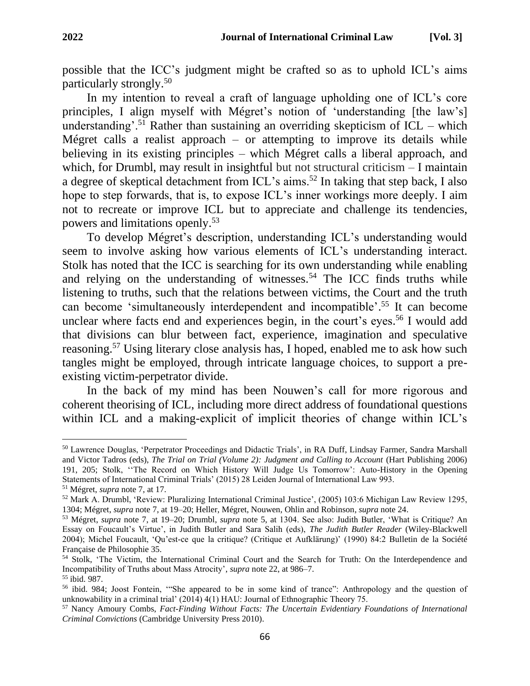possible that the ICC's judgment might be crafted so as to uphold ICL's aims particularly strongly.<sup>50</sup>

In my intention to reveal a craft of language upholding one of ICL's core principles, I align myself with Mégret's notion of 'understanding [the law's] understanding'.<sup>51</sup> Rather than sustaining an overriding skepticism of  $ICL$  – which Mégret calls a realist approach – or attempting to improve its details while believing in its existing principles – which Mégret calls a liberal approach, and which, for Drumbl, may result in insightful but not structural criticism – I maintain a degree of skeptical detachment from ICL's aims.<sup>52</sup> In taking that step back, I also hope to step forwards, that is, to expose ICL's inner workings more deeply. I aim not to recreate or improve ICL but to appreciate and challenge its tendencies, powers and limitations openly.<sup>53</sup>

To develop Mégret's description, understanding ICL's understanding would seem to involve asking how various elements of ICL's understanding interact. Stolk has noted that the ICC is searching for its own understanding while enabling and relying on the understanding of witnesses.<sup>54</sup> The ICC finds truths while listening to truths, such that the relations between victims, the Court and the truth can become 'simultaneously interdependent and incompatible'. <sup>55</sup> It can become unclear where facts end and experiences begin, in the court's eyes. <sup>56</sup> I would add that divisions can blur between fact, experience, imagination and speculative reasoning.<sup>57</sup> Using literary close analysis has, I hoped, enabled me to ask how such tangles might be employed, through intricate language choices, to support a preexisting victim-perpetrator divide.

In the back of my mind has been Nouwen's call for more rigorous and coherent theorising of ICL, including more direct address of foundational questions within ICL and a making-explicit of implicit theories of change within ICL's

<sup>50</sup> Lawrence Douglas, 'Perpetrator Proceedings and Didactic Trials', in RA Duff, Lindsay Farmer, Sandra Marshall and Victor Tadros (eds), *The Trial on Trial (Volume 2): Judgment and Calling to Account* (Hart Publishing 2006) 191, 205; Stolk, ''The Record on Which History Will Judge Us Tomorrow': Auto-History in the Opening Statements of International Criminal Trials' (2015) 28 Leiden Journal of International Law 993.

<sup>51</sup> Mégret, *supra* note 7, at 17.

<sup>52</sup> Mark A. Drumbl, 'Review: Pluralizing International Criminal Justice', (2005) 103:6 Michigan Law Review 1295, 1304; Mégret, *supra* note 7, at 19–20; Heller, Mégret, Nouwen, Ohlin and Robinson, *supra* note 24.

<sup>53</sup> Mégret, *supra* note 7, at 19–20; Drumbl, *supra* note 5, at 1304. See also: Judith Butler, 'What is Critique? An Essay on Foucault's Virtue', in Judith Butler and Sara Salih (eds), *The Judith Butler Reader* (Wiley-Blackwell 2004); Michel Foucault, 'Qu'est-ce que la critique? (Critique et Aufklärung)' (1990) 84:2 Bulletin de la Société Française de Philosophie 35.

<sup>54</sup> Stolk, 'The Victim, the International Criminal Court and the Search for Truth: On the Interdependence and Incompatibility of Truths about Mass Atrocity', *supra* note 22, at 986–7.

<sup>55</sup> ibid. 987.

<sup>56</sup> ibid. 984; Joost Fontein, '"She appeared to be in some kind of trance": Anthropology and the question of unknowability in a criminal trial' (2014) 4(1) HAU: Journal of Ethnographic Theory 75.

<sup>57</sup> Nancy Amoury Combs, *Fact-Finding Without Facts: The Uncertain Evidentiary Foundations of International Criminal Convictions* (Cambridge University Press 2010).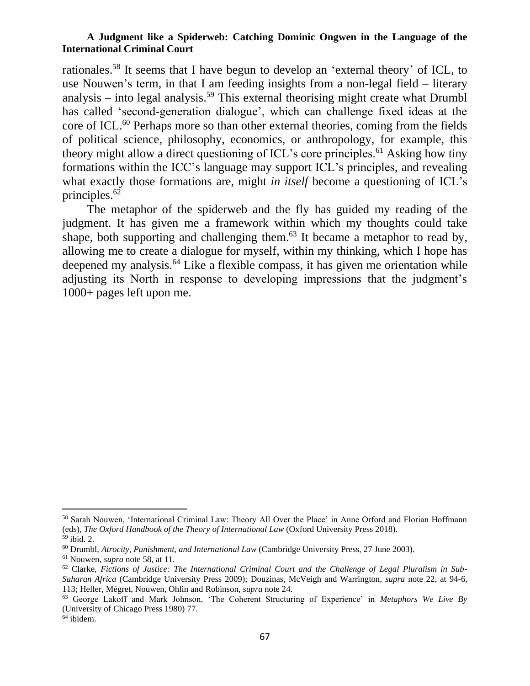rationales.<sup>58</sup> It seems that I have begun to develop an 'external theory' of ICL, to use Nouwen's term, in that I am feeding insights from a non-legal field – literary analysis – into legal analysis.<sup>59</sup> This external theorising might create what Drumbl has called 'second-generation dialogue', which can challenge fixed ideas at the core of ICL.<sup>60</sup> Perhaps more so than other external theories, coming from the fields of political science, philosophy, economics, or anthropology, for example, this theory might allow a direct questioning of ICL's core principles.<sup>61</sup> Asking how tiny formations within the ICC's language may support ICL's principles, and revealing what exactly those formations are, might *in itself* become a questioning of ICL's principles. 62

The metaphor of the spiderweb and the fly has guided my reading of the judgment. It has given me a framework within which my thoughts could take shape, both supporting and challenging them.<sup>63</sup> It became a metaphor to read by, allowing me to create a dialogue for myself, within my thinking, which I hope has deepened my analysis.<sup>64</sup> Like a flexible compass, it has given me orientation while adjusting its North in response to developing impressions that the judgment's 1000+ pages left upon me.

<sup>58</sup> Sarah Nouwen, 'International Criminal Law: Theory All Over the Place' in Anne Orford and Florian Hoffmann (eds), *The Oxford Handbook of the Theory of International Law* (Oxford University Press 2018). <sup>59</sup> ibid. 2.

<sup>60</sup> Drumbl, *Atrocity, Punishment, and International Law* (Cambridge University Press, 27 June 2003).

<sup>61</sup> Nouwen, *supra* note 58, at 11.

<sup>62</sup> Clarke, *Fictions of Justice: The International Criminal Court and the Challenge of Legal Pluralism in Sub-Saharan Africa* (Cambridge University Press 2009); Douzinas, McVeigh and Warrington, *supra* note 22, at 94-6, 113; Heller, Mégret, Nouwen, Ohlin and Robinson, *supra* note 24.

<sup>63</sup> George Lakoff and Mark Johnson, 'The Coherent Structuring of Experience' in *Metaphors We Live By*  (University of Chicago Press 1980) 77.

 $64$  ibidem.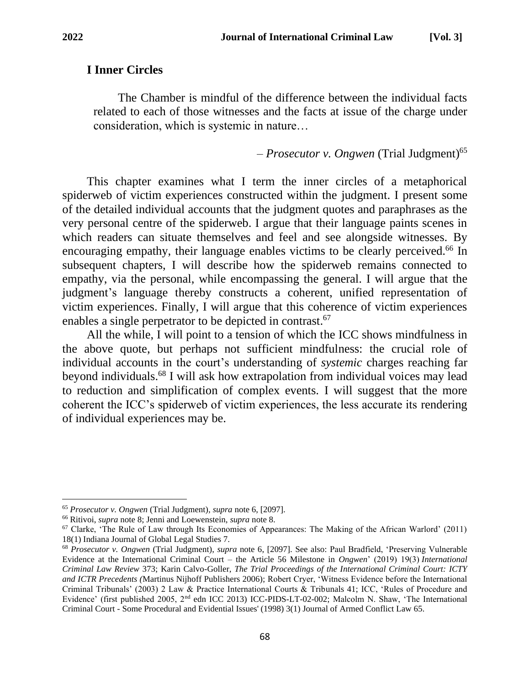### **I Inner Circles**

The Chamber is mindful of the difference between the individual facts related to each of those witnesses and the facts at issue of the charge under consideration, which is systemic in nature…

– *Prosecutor v. Ongwen* (Trial Judgment) 65

This chapter examines what I term the inner circles of a metaphorical spiderweb of victim experiences constructed within the judgment. I present some of the detailed individual accounts that the judgment quotes and paraphrases as the very personal centre of the spiderweb. I argue that their language paints scenes in which readers can situate themselves and feel and see alongside witnesses. By encouraging empathy, their language enables victims to be clearly perceived.<sup>66</sup> In subsequent chapters, I will describe how the spiderweb remains connected to empathy, via the personal, while encompassing the general. I will argue that the judgment's language thereby constructs a coherent, unified representation of victim experiences. Finally, I will argue that this coherence of victim experiences enables a single perpetrator to be depicted in contrast.<sup>67</sup>

All the while, I will point to a tension of which the ICC shows mindfulness in the above quote, but perhaps not sufficient mindfulness: the crucial role of individual accounts in the court's understanding of *systemic* charges reaching far beyond individuals.<sup>68</sup> I will ask how extrapolation from individual voices may lead to reduction and simplification of complex events. I will suggest that the more coherent the ICC's spiderweb of victim experiences, the less accurate its rendering of individual experiences may be.

<sup>65</sup> *Prosecutor v. Ongwen* (Trial Judgment)*, supra* note 6, [2097].

<sup>66</sup> Ritivoi, *supra* note 8; Jenni and Loewenstein, *supra* note 8.

 $67$  Clarke, 'The Rule of Law through Its Economies of Appearances: The Making of the African Warlord' (2011) 18(1) Indiana Journal of Global Legal Studies 7.

<sup>68</sup> *Prosecutor v. Ongwen* (Trial Judgment), *supra* note 6, [2097]. See also: Paul Bradfield, 'Preserving Vulnerable Evidence at the International Criminal Court – the Article 56 Milestone in *Ongwen*' (2019) 19(3) *International Criminal Law Review* 373; Karin Calvo-Goller, *The Trial Proceedings of the International Criminal Court: ICTY and ICTR Precedents (*Martinus Nijhoff Publishers 2006); Robert Cryer, 'Witness Evidence before the International Criminal Tribunals' (2003) 2 Law & Practice International Courts & Tribunals 41; ICC, 'Rules of Procedure and Evidence' (first published 2005, 2nd edn ICC 2013) ICC-PIDS-LT-02-002; Malcolm N. Shaw, 'The International Criminal Court - Some Procedural and Evidential Issues' (1998) 3(1) Journal of Armed Conflict Law 65.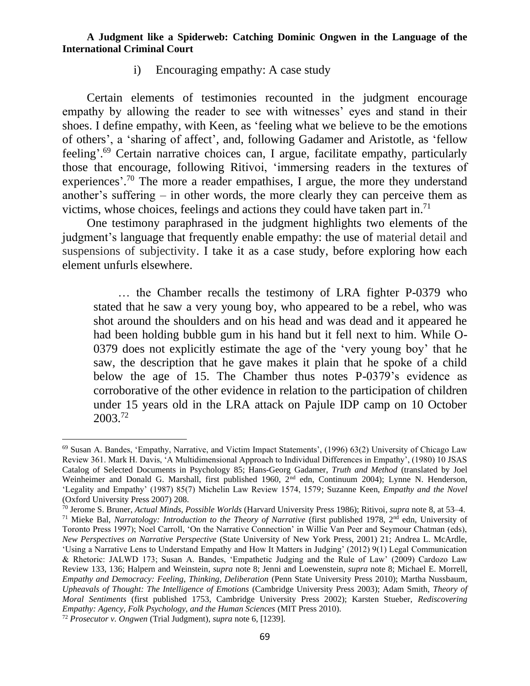i) Encouraging empathy: A case study

Certain elements of testimonies recounted in the judgment encourage empathy by allowing the reader to see with witnesses' eyes and stand in their shoes. I define empathy, with Keen, as 'feeling what we believe to be the emotions of others', a 'sharing of affect', and, following Gadamer and Aristotle, as 'fellow feeling'. <sup>69</sup> Certain narrative choices can, I argue, facilitate empathy, particularly those that encourage, following Ritivoi, 'immersing readers in the textures of experiences'.<sup>70</sup> The more a reader empathises, I argue, the more they understand another's suffering – in other words, the more clearly they can perceive them as victims, whose choices, feelings and actions they could have taken part in. 71

One testimony paraphrased in the judgment highlights two elements of the judgment's language that frequently enable empathy: the use of material detail and suspensions of subjectivity. I take it as a case study, before exploring how each element unfurls elsewhere.

… the Chamber recalls the testimony of LRA fighter P-0379 who stated that he saw a very young boy, who appeared to be a rebel, who was shot around the shoulders and on his head and was dead and it appeared he had been holding bubble gum in his hand but it fell next to him. While O-0379 does not explicitly estimate the age of the 'very young boy' that he saw, the description that he gave makes it plain that he spoke of a child below the age of 15. The Chamber thus notes P-0379's evidence as corroborative of the other evidence in relation to the participation of children under 15 years old in the LRA attack on Pajule IDP camp on 10 October 2003.<sup>72</sup>

<sup>69</sup> Susan A. Bandes, 'Empathy, Narrative, and Victim Impact Statements', (1996) 63(2) University of Chicago Law Review 361. Mark H. Davis, 'A Multidimensional Approach to Individual Differences in Empathy', (1980) 10 JSAS Catalog of Selected Documents in Psychology 85; Hans-Georg Gadamer, *Truth and Method* (translated by Joel Weinheimer and Donald G. Marshall, first published 1960, 2<sup>nd</sup> edn, Continuum 2004); Lynne N. Henderson, 'Legality and Empathy' (1987) 85(7) Michelin Law Review 1574, 1579; Suzanne Keen, *Empathy and the Novel* (Oxford University Press 2007) 208.

<sup>70</sup> Jerome S. Bruner, *Actual Minds, Possible Worlds* (Harvard University Press 1986); Ritivoi, *supra* note 8, at 53–4.

<sup>71</sup> Mieke Bal, *Narratology: Introduction to the Theory of Narrative* (first published 1978, 2nd edn, University of Toronto Press 1997); Noel Carroll, 'On the Narrative Connection' in Willie Van Peer and Seymour Chatman (eds), *New Perspectives on Narrative Perspective* (State University of New York Press, 2001) 21; Andrea L. McArdle, 'Using a Narrative Lens to Understand Empathy and How It Matters in Judging' (2012) 9(1) Legal Communication & Rhetoric: JALWD 173; Susan A. Bandes, 'Empathetic Judging and the Rule of Law' (2009) Cardozo Law Review 133, 136; Halpern and Weinstein, *supra* note 8; Jenni and Loewenstein, *supra* note 8; Michael E. Morrell, *Empathy and Democracy: Feeling, Thinking, Deliberation* (Penn State University Press 2010); Martha Nussbaum, *Upheavals of Thought: The Intelligence of Emotions* (Cambridge University Press 2003); Adam Smith, *Theory of Moral Sentiments* (first published 1753, Cambridge University Press 2002); Karsten Stueber, *Rediscovering Empathy: Agency, Folk Psychology, and the Human Sciences* (MIT Press 2010).

<sup>72</sup> *Prosecutor v. Ongwen* (Trial Judgment), *supra* note 6, [1239].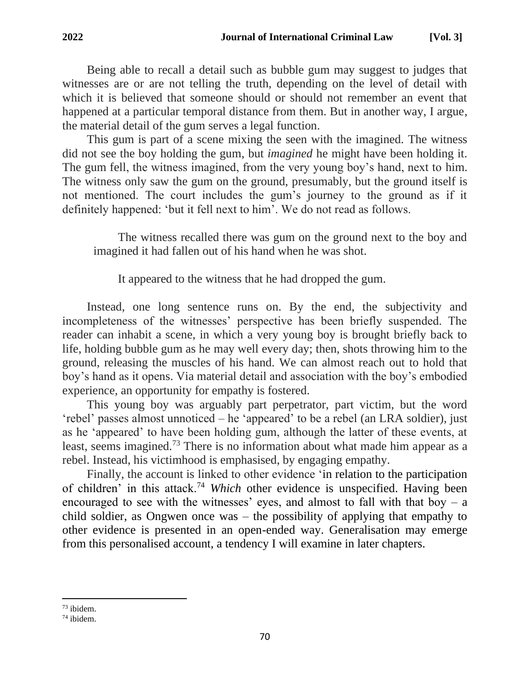Being able to recall a detail such as bubble gum may suggest to judges that witnesses are or are not telling the truth, depending on the level of detail with which it is believed that someone should or should not remember an event that happened at a particular temporal distance from them. But in another way, I argue, the material detail of the gum serves a legal function.

This gum is part of a scene mixing the seen with the imagined. The witness did not see the boy holding the gum, but *imagined* he might have been holding it. The gum fell, the witness imagined, from the very young boy's hand, next to him. The witness only saw the gum on the ground, presumably, but the ground itself is not mentioned. The court includes the gum's journey to the ground as if it definitely happened: 'but it fell next to him'. We do not read as follows.

The witness recalled there was gum on the ground next to the boy and imagined it had fallen out of his hand when he was shot.

It appeared to the witness that he had dropped the gum.

Instead, one long sentence runs on. By the end, the subjectivity and incompleteness of the witnesses' perspective has been briefly suspended. The reader can inhabit a scene, in which a very young boy is brought briefly back to life, holding bubble gum as he may well every day; then, shots throwing him to the ground, releasing the muscles of his hand. We can almost reach out to hold that boy's hand as it opens. Via material detail and association with the boy's embodied experience, an opportunity for empathy is fostered.

This young boy was arguably part perpetrator, part victim, but the word 'rebel' passes almost unnoticed – he 'appeared' to be a rebel (an LRA soldier), just as he 'appeared' to have been holding gum, although the latter of these events, at least, seems imagined.<sup>73</sup> There is no information about what made him appear as a rebel. Instead, his victimhood is emphasised, by engaging empathy.

Finally, the account is linked to other evidence 'in relation to the participation of children' in this attack.<sup>74</sup> *Which* other evidence is unspecified. Having been encouraged to see with the witnesses' eyes, and almost to fall with that boy – a child soldier, as Ongwen once was – the possibility of applying that empathy to other evidence is presented in an open-ended way. Generalisation may emerge from this personalised account, a tendency I will examine in later chapters.

 $73$  ibidem.

<sup>74</sup> ibidem.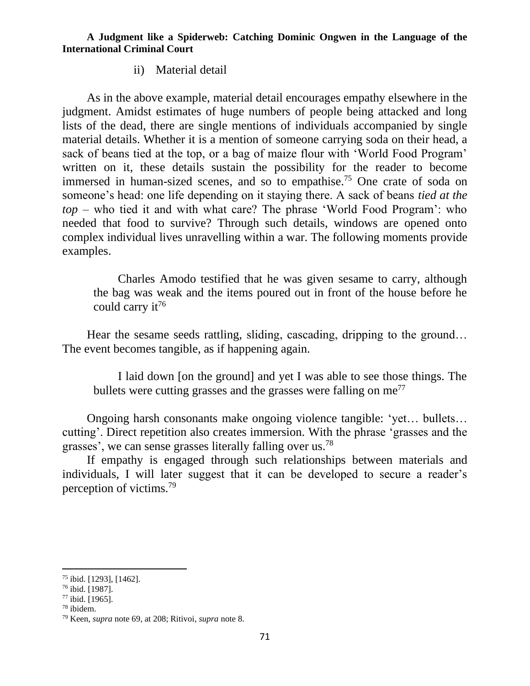ii) Material detail

As in the above example, material detail encourages empathy elsewhere in the judgment. Amidst estimates of huge numbers of people being attacked and long lists of the dead, there are single mentions of individuals accompanied by single material details. Whether it is a mention of someone carrying soda on their head, a sack of beans tied at the top, or a bag of maize flour with 'World Food Program' written on it, these details sustain the possibility for the reader to become immersed in human-sized scenes, and so to empathise.<sup>75</sup> One crate of soda on someone's head: one life depending on it staying there. A sack of beans *tied at the top* – who tied it and with what care? The phrase 'World Food Program': who needed that food to survive? Through such details, windows are opened onto complex individual lives unravelling within a war. The following moments provide examples.

Charles Amodo testified that he was given sesame to carry, although the bag was weak and the items poured out in front of the house before he could carry it<sup>76</sup>

Hear the sesame seeds rattling, sliding, cascading, dripping to the ground… The event becomes tangible, as if happening again.

I laid down [on the ground] and yet I was able to see those things. The bullets were cutting grasses and the grasses were falling on  $me^{77}$ 

Ongoing harsh consonants make ongoing violence tangible: 'yet… bullets… cutting'. Direct repetition also creates immersion. With the phrase 'grasses and the grasses', we can sense grasses literally falling over us.<sup>78</sup>

If empathy is engaged through such relationships between materials and individuals, I will later suggest that it can be developed to secure a reader's perception of victims.<sup>79</sup>

<sup>75</sup> ibid. [1293], [1462].

 $76$  ibid. [1987].

<sup>77</sup> ibid. [1965].

<sup>78</sup> ibidem.

<sup>79</sup> Keen, *supra* note 69, at 208; Ritivoi, *supra* note 8.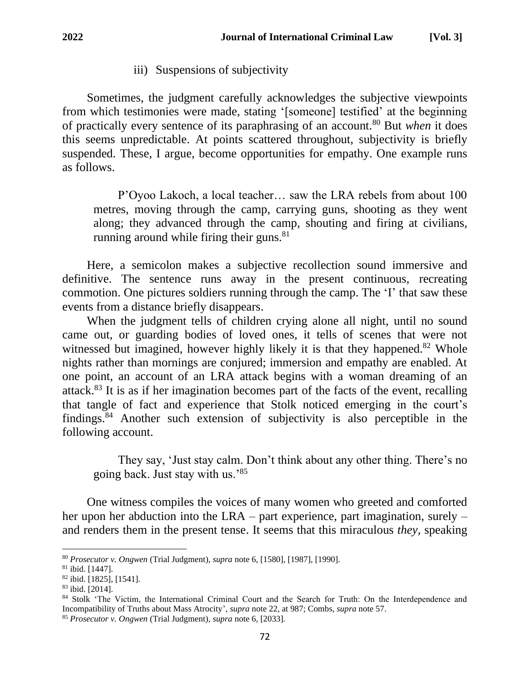iii) Suspensions of subjectivity

Sometimes, the judgment carefully acknowledges the subjective viewpoints from which testimonies were made, stating '[someone] testified' at the beginning of practically every sentence of its paraphrasing of an account.<sup>80</sup> But *when* it does this seems unpredictable. At points scattered throughout, subjectivity is briefly suspended. These, I argue, become opportunities for empathy. One example runs as follows.

P'Oyoo Lakoch, a local teacher… saw the LRA rebels from about 100 metres, moving through the camp, carrying guns, shooting as they went along; they advanced through the camp, shouting and firing at civilians, running around while firing their guns.<sup>81</sup>

Here, a semicolon makes a subjective recollection sound immersive and definitive. The sentence runs away in the present continuous, recreating commotion. One pictures soldiers running through the camp. The 'I' that saw these events from a distance briefly disappears.

When the judgment tells of children crying alone all night, until no sound came out, or guarding bodies of loved ones, it tells of scenes that were not witnessed but imagined, however highly likely it is that they happened.<sup>82</sup> Whole nights rather than mornings are conjured; immersion and empathy are enabled. At one point, an account of an LRA attack begins with a woman dreaming of an attack.<sup>83</sup> It is as if her imagination becomes part of the facts of the event, recalling that tangle of fact and experience that Stolk noticed emerging in the court's findings. <sup>84</sup> Another such extension of subjectivity is also perceptible in the following account.

They say, 'Just stay calm. Don't think about any other thing. There's no going back. Just stay with us.'<sup>85</sup>

One witness compiles the voices of many women who greeted and comforted her upon her abduction into the LRA – part experience, part imagination, surely – and renders them in the present tense. It seems that this miraculous *they,* speaking

<sup>80</sup> *Prosecutor v. Ongwen* (Trial Judgment), *supra* note 6, [1580], [1987], [1990].

 $81$  ibid. [1447].

<sup>82</sup> ibid. [1825], [1541].

<sup>83</sup> ibid. [2014].

<sup>84</sup> Stolk 'The Victim, the International Criminal Court and the Search for Truth: On the Interdependence and Incompatibility of Truths about Mass Atrocity', *supra* note 22, at 987; Combs, *supra* note 57.

<sup>85</sup> *Prosecutor v. Ongwen* (Trial Judgment)*, supra* note 6, [2033].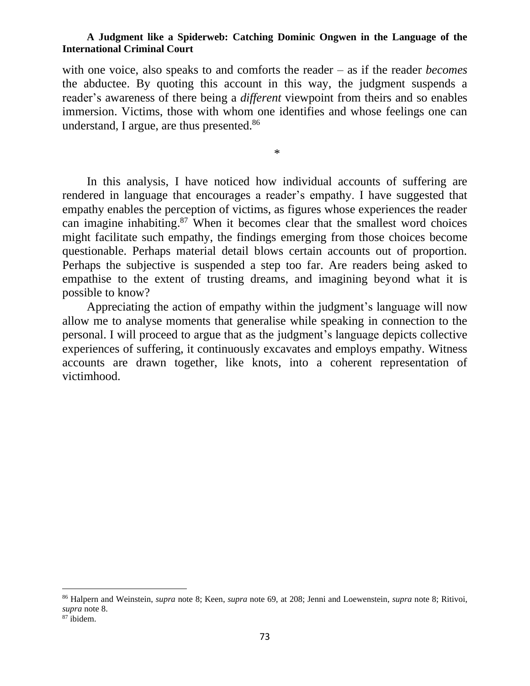with one voice, also speaks to and comforts the reader – as if the reader *becomes*  the abductee. By quoting this account in this way, the judgment suspends a reader's awareness of there being a *different* viewpoint from theirs and so enables immersion. Victims, those with whom one identifies and whose feelings one can understand, I argue, are thus presented.<sup>86</sup>

\*

In this analysis, I have noticed how individual accounts of suffering are rendered in language that encourages a reader's empathy. I have suggested that empathy enables the perception of victims, as figures whose experiences the reader can imagine inhabiting. <sup>87</sup> When it becomes clear that the smallest word choices might facilitate such empathy, the findings emerging from those choices become questionable. Perhaps material detail blows certain accounts out of proportion. Perhaps the subjective is suspended a step too far. Are readers being asked to empathise to the extent of trusting dreams, and imagining beyond what it is possible to know?

Appreciating the action of empathy within the judgment's language will now allow me to analyse moments that generalise while speaking in connection to the personal. I will proceed to argue that as the judgment's language depicts collective experiences of suffering, it continuously excavates and employs empathy. Witness accounts are drawn together, like knots, into a coherent representation of victimhood.

<sup>86</sup> Halpern and Weinstein, *supra* note 8; Keen, *supra* note 69, at 208; Jenni and Loewenstein, *supra* note 8; Ritivoi, *supra* note 8.

<sup>87</sup> ibidem.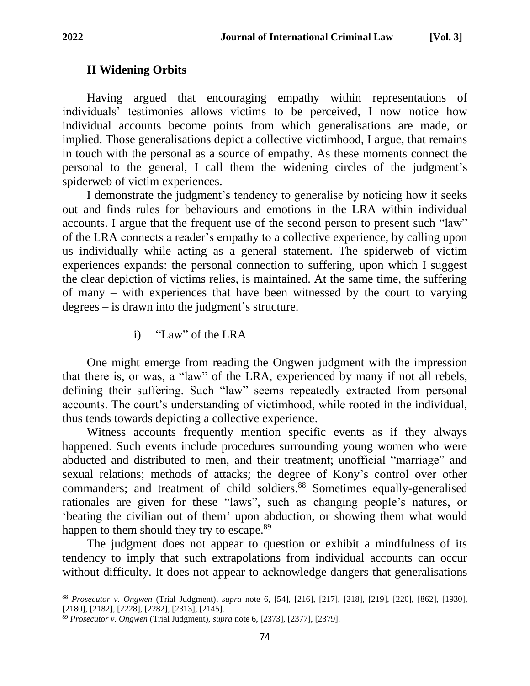# **II Widening Orbits**

Having argued that encouraging empathy within representations of individuals' testimonies allows victims to be perceived, I now notice how individual accounts become points from which generalisations are made, or implied. Those generalisations depict a collective victimhood, I argue, that remains in touch with the personal as a source of empathy. As these moments connect the personal to the general, I call them the widening circles of the judgment's spiderweb of victim experiences.

I demonstrate the judgment's tendency to generalise by noticing how it seeks out and finds rules for behaviours and emotions in the LRA within individual accounts. I argue that the frequent use of the second person to present such "law" of the LRA connects a reader's empathy to a collective experience, by calling upon us individually while acting as a general statement. The spiderweb of victim experiences expands: the personal connection to suffering, upon which I suggest the clear depiction of victims relies, is maintained. At the same time, the suffering of many – with experiences that have been witnessed by the court to varying degrees – is drawn into the judgment's structure.

i) "Law" of the LRA

One might emerge from reading the Ongwen judgment with the impression that there is, or was, a "law" of the LRA, experienced by many if not all rebels, defining their suffering. Such "law" seems repeatedly extracted from personal accounts. The court's understanding of victimhood, while rooted in the individual, thus tends towards depicting a collective experience.

Witness accounts frequently mention specific events as if they always happened. Such events include procedures surrounding young women who were abducted and distributed to men, and their treatment; unofficial "marriage" and sexual relations; methods of attacks; the degree of Kony's control over other commanders; and treatment of child soldiers.<sup>88</sup> Sometimes equally-generalised rationales are given for these "laws", such as changing people's natures, or 'beating the civilian out of them' upon abduction, or showing them what would happen to them should they try to escape.<sup>89</sup>

The judgment does not appear to question or exhibit a mindfulness of its tendency to imply that such extrapolations from individual accounts can occur without difficulty. It does not appear to acknowledge dangers that generalisations

<sup>88</sup> *Prosecutor v. Ongwen* (Trial Judgment)*, supra* note 6, [54], [216], [217], [218], [219], [220], [862], [1930], [2180], [2182], [2228], [2282], [2313], [2145].

<sup>89</sup> *Prosecutor v. Ongwen* (Trial Judgment)*, supra* note 6, [2373], [2377], [2379].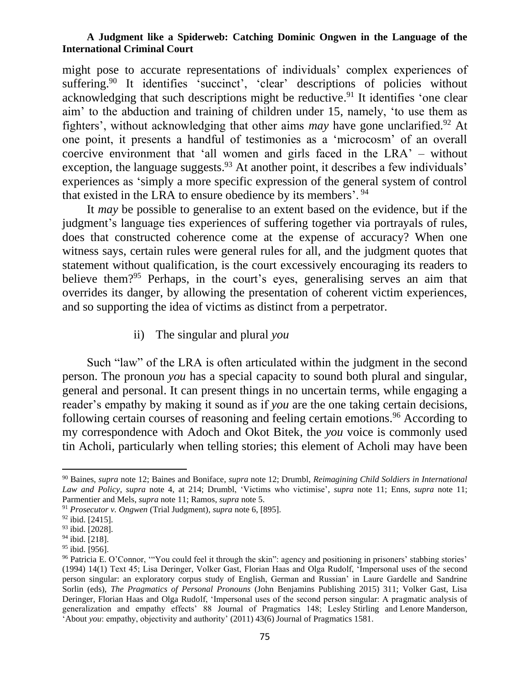might pose to accurate representations of individuals' complex experiences of suffering.<sup>90</sup> It identifies 'succinct', 'clear' descriptions of policies without acknowledging that such descriptions might be reductive.<sup>91</sup> It identifies 'one clear aim' to the abduction and training of children under 15, namely, 'to use them as fighters', without acknowledging that other aims *may* have gone unclarified.<sup>92</sup> At one point, it presents a handful of testimonies as a 'microcosm' of an overall coercive environment that 'all women and girls faced in the LRA' – without exception, the language suggests.<sup>93</sup> At another point, it describes a few individuals' experiences as 'simply a more specific expression of the general system of control that existed in the LRA to ensure obedience by its members'. <sup>94</sup>

It *may* be possible to generalise to an extent based on the evidence, but if the judgment's language ties experiences of suffering together via portrayals of rules, does that constructed coherence come at the expense of accuracy? When one witness says, certain rules were general rules for all, and the judgment quotes that statement without qualification, is the court excessively encouraging its readers to believe them?<sup>95</sup> Perhaps, in the court's eyes, generalising serves an aim that overrides its danger, by allowing the presentation of coherent victim experiences, and so supporting the idea of victims as distinct from a perpetrator.

ii) The singular and plural *you*

Such "law" of the LRA is often articulated within the judgment in the second person. The pronoun *you* has a special capacity to sound both plural and singular, general and personal. It can present things in no uncertain terms, while engaging a reader's empathy by making it sound as if *you* are the one taking certain decisions, following certain courses of reasoning and feeling certain emotions.<sup>96</sup> According to my correspondence with Adoch and Okot Bitek, the *you* voice is commonly used tin Acholi, particularly when telling stories; this element of Acholi may have been

<sup>90</sup> Baines, *supra* note 12; Baines and Boniface, *supra* note 12; Drumbl, *Reimagining Child Soldiers in International Law and Policy, supra* note 4, at 214; Drumbl, 'Victims who victimise', *supra* note 11; Enns, *supra* note 11; Parmentier and Mels, *supra* note 11; Ramos, *supra* note 5.

<sup>91</sup> *Prosecutor v. Ongwen* (Trial Judgment)*, supra* note 6, [895].

 $92$  ibid. [2415].

<sup>93</sup> ibid. [2028].

<sup>94</sup> ibid. [218].

<sup>&</sup>lt;sup>95</sup> ibid. [956].

<sup>96</sup> Patricia E. O'Connor, '"You could feel it through the skin": agency and positioning in prisoners' stabbing stories' (1994) 14(1) Text 45; Lisa Deringer, Volker Gast, Florian Haas and Olga Rudolf, 'Impersonal uses of the second person singular: an exploratory corpus study of English, German and Russian' in Laure Gardelle and Sandrine Sorlin (eds), *The Pragmatics of Personal Pronouns* (John Benjamins Publishing 2015) 311; Volker Gast, Lisa Deringer, Florian Haas and Olga Rudolf, 'Impersonal uses of the second person singular: A pragmatic analysis of generalization and empathy effects' 88 Journal of Pragmatics 148; Lesley Stirling and Lenore Manderson, 'About *you*: empathy, objectivity and authority' (2011) 43(6) Journal of Pragmatics 1581.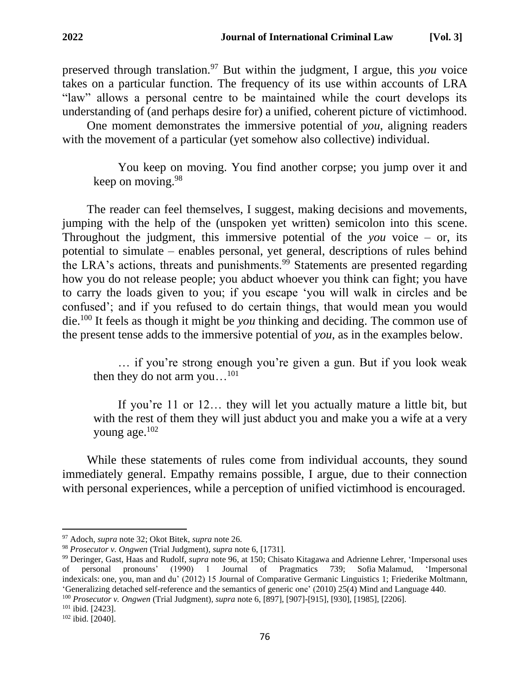preserved through translation.<sup>97</sup> But within the judgment, I argue, this *you* voice takes on a particular function. The frequency of its use within accounts of LRA "law" allows a personal centre to be maintained while the court develops its understanding of (and perhaps desire for) a unified, coherent picture of victimhood.

One moment demonstrates the immersive potential of *you*, aligning readers with the movement of a particular (yet somehow also collective) individual.

You keep on moving. You find another corpse; you jump over it and keep on moving.  $98$ 

The reader can feel themselves, I suggest, making decisions and movements, jumping with the help of the (unspoken yet written) semicolon into this scene. Throughout the judgment, this immersive potential of the *you* voice – or, its potential to simulate – enables personal, yet general, descriptions of rules behind the LRA's actions, threats and punishments.<sup>99</sup> Statements are presented regarding how you do not release people; you abduct whoever you think can fight; you have to carry the loads given to you; if you escape 'you will walk in circles and be confused'; and if you refused to do certain things, that would mean you would die.<sup>100</sup> It feels as though it might be *you* thinking and deciding. The common use of the present tense adds to the immersive potential of *you*, as in the examples below.

… if you're strong enough you're given a gun. But if you look weak then they do not arm you... $^{101}$ 

If you're 11 or 12… they will let you actually mature a little bit, but with the rest of them they will just abduct you and make you a wife at a very young age.<sup>102</sup>

While these statements of rules come from individual accounts, they sound immediately general. Empathy remains possible, I argue, due to their connection with personal experiences, while a perception of unified victimhood is encouraged.

<sup>100</sup> *Prosecutor v. Ongwen* (Trial Judgment)*, supra* note 6, [897], [907]-[915], [930], [1985], [2206].

<sup>97</sup> Adoch, *supra* note 32; Okot Bitek, *supra* note 26.

<sup>98</sup> *Prosecutor v. Ongwen* (Trial Judgment)*, supra* note 6, [1731].

<sup>99</sup> Deringer, Gast, Haas and Rudolf, *supra* note 96, at 150; Chisato Kitagawa and Adrienne Lehrer, 'Impersonal uses of personal pronouns' (1990) 1 Journal of Pragmatics 739; Sofia Malamud, 'Impersonal indexicals: one, you, man and du' (2012) 15 Journal of Comparative Germanic Linguistics 1; Friederike Moltmann, 'Generalizing detached self-reference and the semantics of generic one' (2010) 25(4) Mind and Language 440.

<sup>101</sup> ibid. [2423].

<sup>102</sup> ibid. [2040].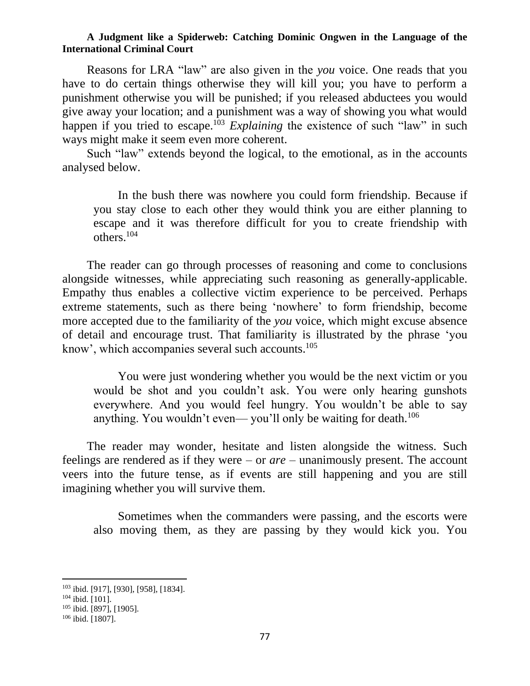Reasons for LRA "law" are also given in the *you* voice. One reads that you have to do certain things otherwise they will kill you; you have to perform a punishment otherwise you will be punished; if you released abductees you would give away your location; and a punishment was a way of showing you what would happen if you tried to escape.<sup>103</sup> *Explaining* the existence of such "law" in such ways might make it seem even more coherent.

Such "law" extends beyond the logical, to the emotional, as in the accounts analysed below.

In the bush there was nowhere you could form friendship. Because if you stay close to each other they would think you are either planning to escape and it was therefore difficult for you to create friendship with others.<sup>104</sup>

The reader can go through processes of reasoning and come to conclusions alongside witnesses, while appreciating such reasoning as generally-applicable. Empathy thus enables a collective victim experience to be perceived. Perhaps extreme statements, such as there being 'nowhere' to form friendship, become more accepted due to the familiarity of the *you* voice, which might excuse absence of detail and encourage trust. That familiarity is illustrated by the phrase 'you know', which accompanies several such accounts.<sup>105</sup>

You were just wondering whether you would be the next victim or you would be shot and you couldn't ask. You were only hearing gunshots everywhere. And you would feel hungry. You wouldn't be able to say anything. You wouldn't even— you'll only be waiting for death.<sup>106</sup>

The reader may wonder, hesitate and listen alongside the witness. Such feelings are rendered as if they were – or *are* – unanimously present. The account veers into the future tense, as if events are still happening and you are still imagining whether you will survive them.

Sometimes when the commanders were passing, and the escorts were also moving them, as they are passing by they would kick you. You

<sup>103</sup> ibid. [917], [930], [958], [1834].

 $104$  ibid. [101].

<sup>105</sup> ibid. [897], [1905].

<sup>106</sup> ibid. [1807].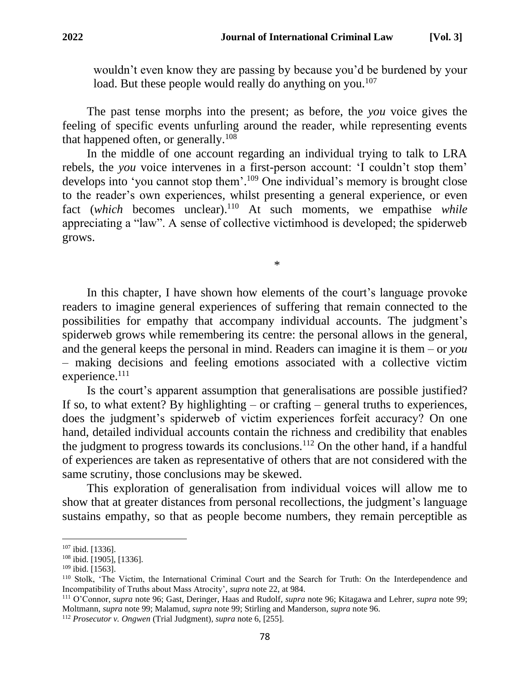wouldn't even know they are passing by because you'd be burdened by your load. But these people would really do anything on you.<sup>107</sup>

The past tense morphs into the present; as before, the *you* voice gives the feeling of specific events unfurling around the reader, while representing events that happened often, or generally.<sup>108</sup>

In the middle of one account regarding an individual trying to talk to LRA rebels, the *you* voice intervenes in a first-person account: 'I couldn't stop them' develops into 'you cannot stop them'. <sup>109</sup> One individual's memory is brought close to the reader's own experiences, whilst presenting a general experience, or even fact (*which* becomes unclear). <sup>110</sup> At such moments, we empathise *while*  appreciating a "law". A sense of collective victimhood is developed; the spiderweb grows.

\*

In this chapter, I have shown how elements of the court's language provoke readers to imagine general experiences of suffering that remain connected to the possibilities for empathy that accompany individual accounts. The judgment's spiderweb grows while remembering its centre: the personal allows in the general, and the general keeps the personal in mind. Readers can imagine it is them – or *you* – making decisions and feeling emotions associated with a collective victim experience.<sup>111</sup>

Is the court's apparent assumption that generalisations are possible justified? If so, to what extent? By highlighting  $-$  or crafting  $-$  general truths to experiences, does the judgment's spiderweb of victim experiences forfeit accuracy? On one hand, detailed individual accounts contain the richness and credibility that enables the judgment to progress towards its conclusions.<sup>112</sup> On the other hand, if a handful of experiences are taken as representative of others that are not considered with the same scrutiny, those conclusions may be skewed.

This exploration of generalisation from individual voices will allow me to show that at greater distances from personal recollections, the judgment's language sustains empathy, so that as people become numbers, they remain perceptible as

<sup>107</sup> ibid. [1336].

<sup>108</sup> ibid. [1905], [1336].

<sup>109</sup> ibid. [1563].

<sup>110</sup> Stolk, 'The Victim, the International Criminal Court and the Search for Truth: On the Interdependence and Incompatibility of Truths about Mass Atrocity', *supra* note 22, at 984.

<sup>111</sup> O'Connor, *supra* note 96; Gast, Deringer, Haas and Rudolf, *supra* note 96; Kitagawa and Lehrer, *supra* note 99; Moltmann, *supra* note 99; Malamud, *supra* note 99; Stirling and Manderson, *supra* note 96.

<sup>112</sup> *Prosecutor v. Ongwen* (Trial Judgment)*, supra* note 6, [255].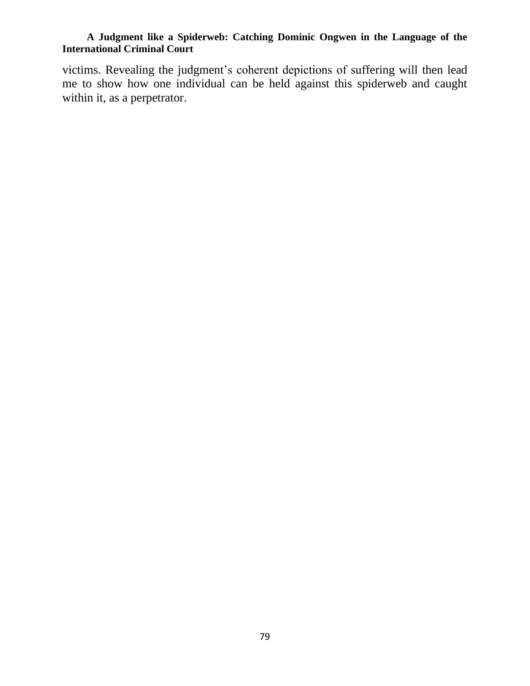victims. Revealing the judgment's coherent depictions of suffering will then lead me to show how one individual can be held against this spiderweb and caught within it, as a perpetrator.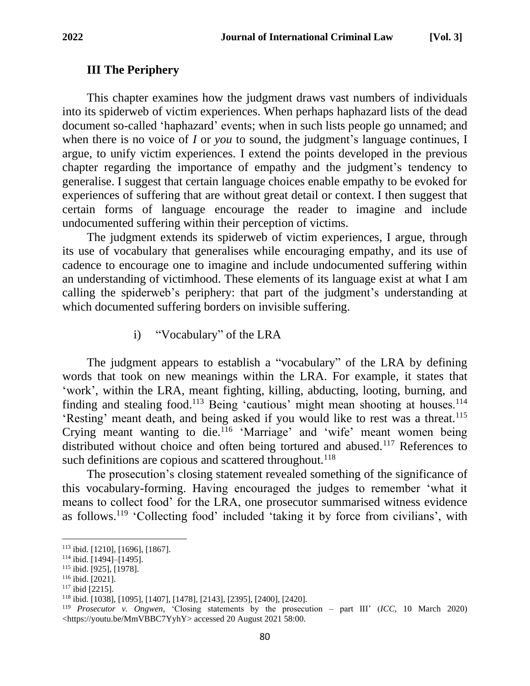## **III The Periphery**

This chapter examines how the judgment draws vast numbers of individuals into its spiderweb of victim experiences. When perhaps haphazard lists of the dead document so-called 'haphazard' events; when in such lists people go unnamed; and when there is no voice of *I* or *you* to sound, the judgment's language continues, I argue, to unify victim experiences. I extend the points developed in the previous chapter regarding the importance of empathy and the judgment's tendency to generalise. I suggest that certain language choices enable empathy to be evoked for experiences of suffering that are without great detail or context. I then suggest that certain forms of language encourage the reader to imagine and include undocumented suffering within their perception of victims.

The judgment extends its spiderweb of victim experiences, I argue, through its use of vocabulary that generalises while encouraging empathy, and its use of cadence to encourage one to imagine and include undocumented suffering within an understanding of victimhood. These elements of its language exist at what I am calling the spiderweb's periphery: that part of the judgment's understanding at which documented suffering borders on invisible suffering.

i) "Vocabulary" of the LRA

The judgment appears to establish a "vocabulary" of the LRA by defining words that took on new meanings within the LRA. For example, it states that 'work', within the LRA, meant fighting, killing, abducting, looting, burning, and finding and stealing food.<sup>113</sup> Being 'cautious' might mean shooting at houses.<sup>114</sup> 'Resting' meant death, and being asked if you would like to rest was a threat.<sup>115</sup> Crying meant wanting to die.<sup>116</sup> 'Marriage' and 'wife' meant women being distributed without choice and often being tortured and abused.<sup>117</sup> References to such definitions are copious and scattered throughout.<sup>118</sup>

The prosecution's closing statement revealed something of the significance of this vocabulary-forming. Having encouraged the judges to remember 'what it means to collect food' for the LRA, one prosecutor summarised witness evidence as follows.<sup>119</sup> 'Collecting food' included 'taking it by force from civilians', with

<sup>113</sup> ibid. [1210], [1696], [1867].

 $114$  ibid. [1494]–[1495].

<sup>115</sup> ibid. [925], [1978].

<sup>116</sup> ibid. [2021].

 $117$  ibid [2215].

<sup>118</sup> ibid. [1038], [1095], [1407], [1478], [2143], [2395], [2400], [2420].

<sup>119</sup> *Prosecutor v. Ongwen*, 'Closing statements by the prosecution – part III' (*ICC,* 10 March 2020) <https://youtu.be/MmVBBC7YyhY> accessed 20 August 2021 58:00.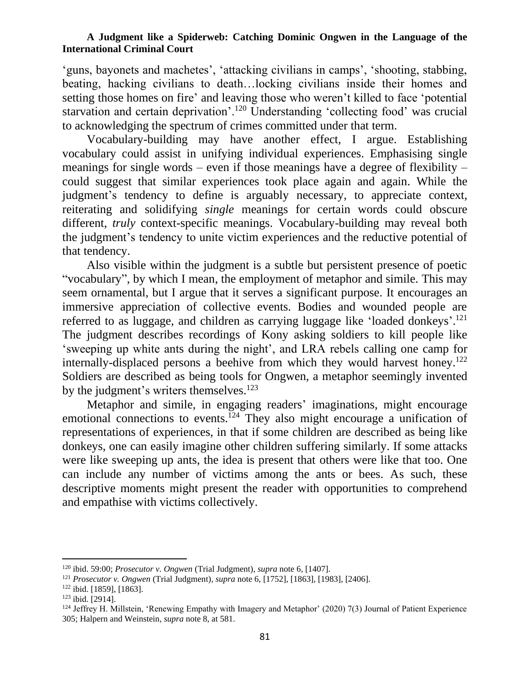'guns, bayonets and machetes', 'attacking civilians in camps', 'shooting, stabbing, beating, hacking civilians to death…locking civilians inside their homes and setting those homes on fire' and leaving those who weren't killed to face 'potential starvation and certain deprivation'.<sup>120</sup> Understanding 'collecting food' was crucial to acknowledging the spectrum of crimes committed under that term.

Vocabulary-building may have another effect, I argue. Establishing vocabulary could assist in unifying individual experiences. Emphasising single meanings for single words – even if those meanings have a degree of flexibility – could suggest that similar experiences took place again and again. While the judgment's tendency to define is arguably necessary, to appreciate context, reiterating and solidifying *single* meanings for certain words could obscure different, *truly* context-specific meanings. Vocabulary-building may reveal both the judgment's tendency to unite victim experiences and the reductive potential of that tendency.

Also visible within the judgment is a subtle but persistent presence of poetic "vocabulary", by which I mean, the employment of metaphor and simile. This may seem ornamental, but I argue that it serves a significant purpose. It encourages an immersive appreciation of collective events. Bodies and wounded people are referred to as luggage, and children as carrying luggage like 'loaded donkeys'.<sup>121</sup> The judgment describes recordings of Kony asking soldiers to kill people like 'sweeping up white ants during the night', and LRA rebels calling one camp for internally-displaced persons a beehive from which they would harvest honey.<sup>122</sup> Soldiers are described as being tools for Ongwen, a metaphor seemingly invented by the judgment's writers themselves.<sup>123</sup>

Metaphor and simile, in engaging readers' imaginations, might encourage emotional connections to events.<sup>124</sup> They also might encourage a unification of representations of experiences, in that if some children are described as being like donkeys, one can easily imagine other children suffering similarly. If some attacks were like sweeping up ants, the idea is present that others were like that too. One can include any number of victims among the ants or bees. As such, these descriptive moments might present the reader with opportunities to comprehend and empathise with victims collectively.

<sup>120</sup> ibid. 59:00; *Prosecutor v. Ongwen* (Trial Judgment)*, supra* note 6, [1407].

<sup>121</sup> *Prosecutor v. Ongwen* (Trial Judgment)*, supra* note 6, [1752], [1863], [1983], [2406].

 $122$  ibid. [1859], [1863].

<sup>123</sup> ibid. [2914].

 $124$  Jeffrey H. Millstein, 'Renewing Empathy with Imagery and Metaphor' (2020) 7(3) Journal of Patient Experience 305; Halpern and Weinstein, *supra* note 8, at 581.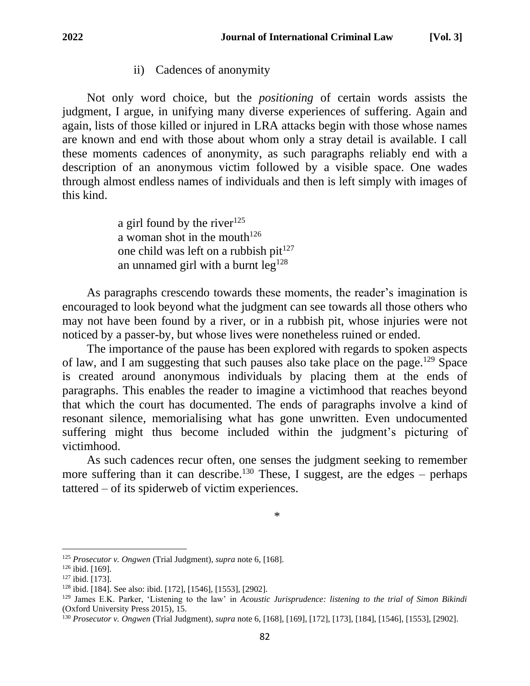## ii) Cadences of anonymity

Not only word choice, but the *positioning* of certain words assists the judgment, I argue, in unifying many diverse experiences of suffering. Again and again, lists of those killed or injured in LRA attacks begin with those whose names are known and end with those about whom only a stray detail is available. I call these moments cadences of anonymity, as such paragraphs reliably end with a description of an anonymous victim followed by a visible space. One wades through almost endless names of individuals and then is left simply with images of this kind.

> a girl found by the river $125$ a woman shot in the mouth<sup>126</sup> one child was left on a rubbish pit $127$ an unnamed girl with a burnt  $leg^{128}$

As paragraphs crescendo towards these moments, the reader's imagination is encouraged to look beyond what the judgment can see towards all those others who may not have been found by a river, or in a rubbish pit, whose injuries were not noticed by a passer-by, but whose lives were nonetheless ruined or ended.

The importance of the pause has been explored with regards to spoken aspects of law, and I am suggesting that such pauses also take place on the page.<sup>129</sup> Space is created around anonymous individuals by placing them at the ends of paragraphs. This enables the reader to imagine a victimhood that reaches beyond that which the court has documented. The ends of paragraphs involve a kind of resonant silence, memorialising what has gone unwritten. Even undocumented suffering might thus become included within the judgment's picturing of victimhood.

As such cadences recur often, one senses the judgment seeking to remember more suffering than it can describe.<sup>130</sup> These, I suggest, are the edges – perhaps tattered – of its spiderweb of victim experiences.

\*

<sup>125</sup> *Prosecutor v. Ongwen* (Trial Judgment)*, supra* note 6, [168].

<sup>126</sup> ibid. [169].

<sup>127</sup> ibid. [173].

<sup>128</sup> ibid. [184]. See also: ibid. [172], [1546], [1553], [2902].

<sup>129</sup> James E.K. Parker, 'Listening to the law' in *Acoustic Jurisprudence: listening to the trial of Simon Bikindi*  (Oxford University Press 2015), 15.

<sup>130</sup> *Prosecutor v. Ongwen* (Trial Judgment), *supra* note 6, [168], [169], [172], [173], [184], [1546], [1553], [2902].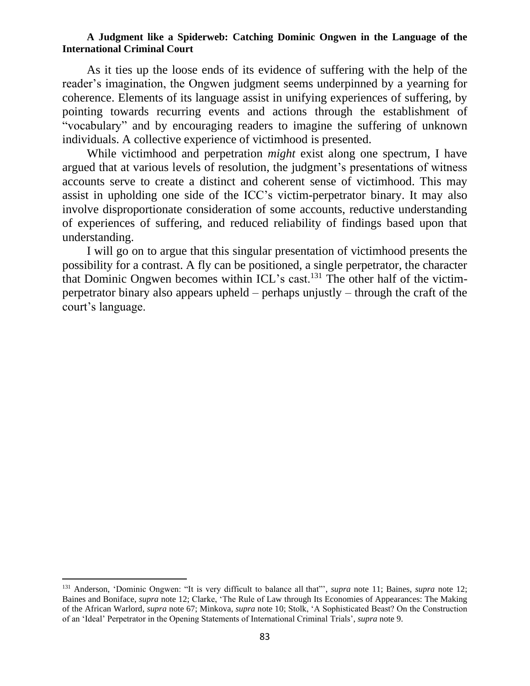As it ties up the loose ends of its evidence of suffering with the help of the reader's imagination, the Ongwen judgment seems underpinned by a yearning for coherence. Elements of its language assist in unifying experiences of suffering, by pointing towards recurring events and actions through the establishment of "vocabulary" and by encouraging readers to imagine the suffering of unknown individuals. A collective experience of victimhood is presented.

While victimhood and perpetration *might* exist along one spectrum, I have argued that at various levels of resolution, the judgment's presentations of witness accounts serve to create a distinct and coherent sense of victimhood. This may assist in upholding one side of the ICC's victim-perpetrator binary. It may also involve disproportionate consideration of some accounts, reductive understanding of experiences of suffering, and reduced reliability of findings based upon that understanding.

I will go on to argue that this singular presentation of victimhood presents the possibility for a contrast. A fly can be positioned, a single perpetrator, the character that Dominic Ongwen becomes within ICL's cast.<sup>131</sup> The other half of the victimperpetrator binary also appears upheld – perhaps unjustly – through the craft of the court's language.

<sup>131</sup> Anderson, 'Dominic Ongwen: "It is very difficult to balance all that"', *supra* note 11; Baines, *supra* note 12; Baines and Boniface, *supra* note 12; Clarke, 'The Rule of Law through Its Economies of Appearances: The Making of the African Warlord, *supra* note 67; Minkova, *supra* note 10; Stolk, 'A Sophisticated Beast? On the Construction of an 'Ideal' Perpetrator in the Opening Statements of International Criminal Trials', *supra* note 9.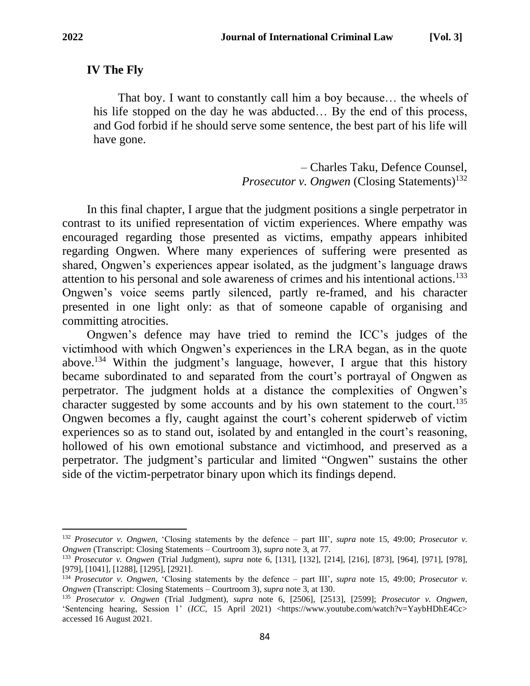## **IV The Fly**

That boy. I want to constantly call him a boy because… the wheels of his life stopped on the day he was abducted… By the end of this process, and God forbid if he should serve some sentence, the best part of his life will have gone.

> – Charles Taku, Defence Counsel, *Prosecutor v. Ongwen* (Closing Statements)<sup>132</sup>

In this final chapter, I argue that the judgment positions a single perpetrator in contrast to its unified representation of victim experiences. Where empathy was encouraged regarding those presented as victims, empathy appears inhibited regarding Ongwen. Where many experiences of suffering were presented as shared, Ongwen's experiences appear isolated, as the judgment's language draws attention to his personal and sole awareness of crimes and his intentional actions.<sup>133</sup> Ongwen's voice seems partly silenced, partly re-framed, and his character presented in one light only: as that of someone capable of organising and committing atrocities.

Ongwen's defence may have tried to remind the ICC's judges of the victimhood with which Ongwen's experiences in the LRA began, as in the quote above.<sup>134</sup> Within the judgment's language, however, I argue that this history became subordinated to and separated from the court's portrayal of Ongwen as perpetrator. The judgment holds at a distance the complexities of Ongwen's character suggested by some accounts and by his own statement to the court.<sup>135</sup> Ongwen becomes a fly, caught against the court's coherent spiderweb of victim experiences so as to stand out, isolated by and entangled in the court's reasoning, hollowed of his own emotional substance and victimhood, and preserved as a perpetrator. The judgment's particular and limited "Ongwen" sustains the other side of the victim-perpetrator binary upon which its findings depend.

<sup>132</sup> *Prosecutor v. Ongwen*, 'Closing statements by the defence – part III', *supra* note 15, 49:00; *Prosecutor v. Ongwen* (Transcript: Closing Statements – Courtroom 3), *supra* note 3, at 77.

<sup>133</sup> *Prosecutor v. Ongwen* (Trial Judgment)*, supra* note 6, [131], [132], [214], [216], [873], [964], [971], [978], [979], [1041], [1288], [1295], [2921].

<sup>134</sup> *Prosecutor v. Ongwen*, 'Closing statements by the defence – part III', *supra* note 15, 49:00; *Prosecutor v. Ongwen* (Transcript: Closing Statements – Courtroom 3), *supra* note 3, at 130.

<sup>135</sup> *Prosecutor v. Ongwen* (Trial Judgment)*, supra* note 6, [2506], [2513], [2599]; *Prosecutor v. Ongwen*, 'Sentencing hearing, Session 1' (*ICC,* 15 April 2021) <https://www.youtube.com/watch?v=YaybHDhE4Cc> accessed 16 August 2021.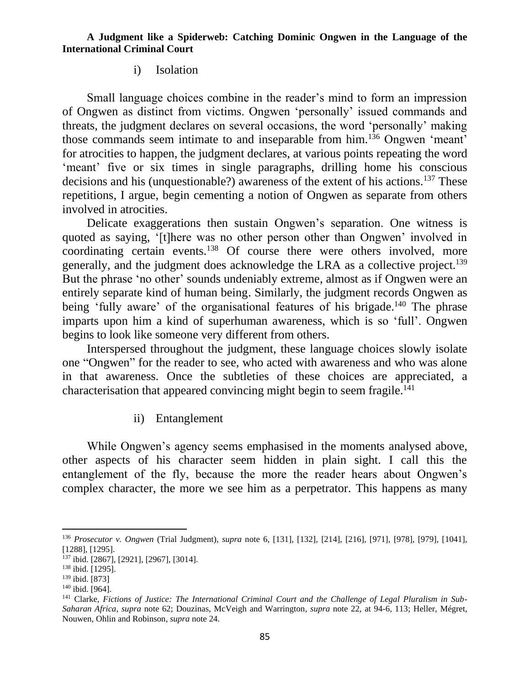### i) Isolation

Small language choices combine in the reader's mind to form an impression of Ongwen as distinct from victims. Ongwen 'personally' issued commands and threats, the judgment declares on several occasions, the word 'personally' making those commands seem intimate to and inseparable from him.<sup>136</sup> Ongwen 'meant' for atrocities to happen, the judgment declares, at various points repeating the word 'meant' five or six times in single paragraphs, drilling home his conscious decisions and his (unquestionable?) awareness of the extent of his actions.<sup>137</sup> These repetitions, I argue, begin cementing a notion of Ongwen as separate from others involved in atrocities.

Delicate exaggerations then sustain Ongwen's separation. One witness is quoted as saying, '[t]here was no other person other than Ongwen' involved in coordinating certain events.<sup>138</sup> Of course there were others involved, more generally, and the judgment does acknowledge the LRA as a collective project.<sup>139</sup> But the phrase 'no other' sounds undeniably extreme, almost as if Ongwen were an entirely separate kind of human being. Similarly, the judgment records Ongwen as being 'fully aware' of the organisational features of his brigade.<sup>140</sup> The phrase imparts upon him a kind of superhuman awareness, which is so 'full'. Ongwen begins to look like someone very different from others.

Interspersed throughout the judgment, these language choices slowly isolate one "Ongwen" for the reader to see, who acted with awareness and who was alone in that awareness. Once the subtleties of these choices are appreciated, a characterisation that appeared convincing might begin to seem fragile.<sup>141</sup>

## ii) Entanglement

While Ongwen's agency seems emphasised in the moments analysed above, other aspects of his character seem hidden in plain sight. I call this the entanglement of the fly, because the more the reader hears about Ongwen's complex character, the more we see him as a perpetrator. This happens as many

<sup>136</sup> *Prosecutor v. Ongwen* (Trial Judgment)*, supra* note 6, [131], [132], [214], [216], [971], [978], [979], [1041], [1288], [1295].

<sup>137</sup> ibid. [2867], [2921], [2967], [3014].

<sup>138</sup> ibid. [1295].

<sup>139</sup> ibid. [873]

<sup>140</sup> ibid. [964].

<sup>141</sup> Clarke, *Fictions of Justice: The International Criminal Court and the Challenge of Legal Pluralism in Sub-Saharan Africa*, *supra* note 62; Douzinas, McVeigh and Warrington, *supra* note 22, at 94-6, 113; Heller, Mégret, Nouwen, Ohlin and Robinson, *supra* note 24.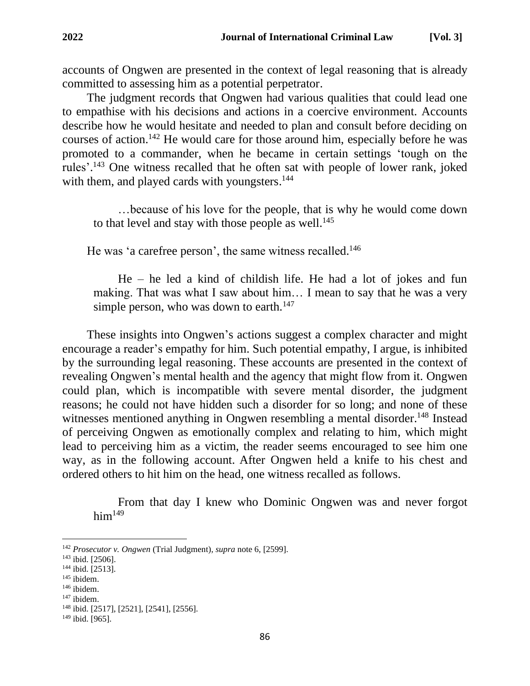accounts of Ongwen are presented in the context of legal reasoning that is already committed to assessing him as a potential perpetrator.

The judgment records that Ongwen had various qualities that could lead one to empathise with his decisions and actions in a coercive environment. Accounts describe how he would hesitate and needed to plan and consult before deciding on courses of action.<sup>142</sup> He would care for those around him, especially before he was promoted to a commander, when he became in certain settings 'tough on the rules'.<sup>143</sup> One witness recalled that he often sat with people of lower rank, joked with them, and played cards with youngsters.<sup>144</sup>

…because of his love for the people, that is why he would come down to that level and stay with those people as well. $^{145}$ 

He was 'a carefree person', the same witness recalled.<sup>146</sup>

He – he led a kind of childish life. He had a lot of jokes and fun making. That was what I saw about him… I mean to say that he was a very simple person, who was down to earth. $147$ 

These insights into Ongwen's actions suggest a complex character and might encourage a reader's empathy for him. Such potential empathy, I argue, is inhibited by the surrounding legal reasoning. These accounts are presented in the context of revealing Ongwen's mental health and the agency that might flow from it. Ongwen could plan, which is incompatible with severe mental disorder, the judgment reasons; he could not have hidden such a disorder for so long; and none of these witnesses mentioned anything in Ongwen resembling a mental disorder.<sup>148</sup> Instead of perceiving Ongwen as emotionally complex and relating to him, which might lead to perceiving him as a victim, the reader seems encouraged to see him one way, as in the following account. After Ongwen held a knife to his chest and ordered others to hit him on the head, one witness recalled as follows.

From that day I knew who Dominic Ongwen was and never forgot  $him<sup>149</sup>$ 

<sup>142</sup> *Prosecutor v. Ongwen* (Trial Judgment)*, supra* note 6, [2599].

<sup>143</sup> ibid. [2506].

<sup>144</sup> ibid. [2513].

<sup>145</sup> ibidem.

<sup>146</sup> ibidem.

<sup>147</sup> ibidem.

<sup>148</sup> ibid. [2517], [2521], [2541], [2556].

 $149$  ibid. [965].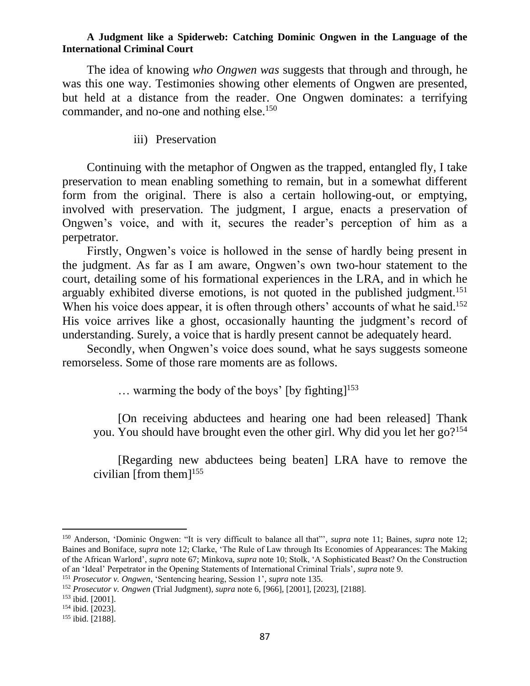The idea of knowing *who Ongwen was* suggests that through and through, he was this one way. Testimonies showing other elements of Ongwen are presented, but held at a distance from the reader. One Ongwen dominates: a terrifying commander, and no-one and nothing else.<sup>150</sup>

iii) Preservation

Continuing with the metaphor of Ongwen as the trapped, entangled fly, I take preservation to mean enabling something to remain, but in a somewhat different form from the original. There is also a certain hollowing-out, or emptying, involved with preservation. The judgment, I argue, enacts a preservation of Ongwen's voice, and with it, secures the reader's perception of him as a perpetrator.

Firstly, Ongwen's voice is hollowed in the sense of hardly being present in the judgment. As far as I am aware, Ongwen's own two-hour statement to the court, detailing some of his formational experiences in the LRA, and in which he arguably exhibited diverse emotions, is not quoted in the published judgment.<sup>151</sup> When his voice does appear, it is often through others' accounts of what he said.<sup>152</sup> His voice arrives like a ghost, occasionally haunting the judgment's record of understanding. Surely, a voice that is hardly present cannot be adequately heard.

Secondly, when Ongwen's voice does sound, what he says suggests someone remorseless. Some of those rare moments are as follows.

 $\ldots$  warming the body of the boys' [by fighting]<sup>153</sup>

[On receiving abductees and hearing one had been released] Thank you. You should have brought even the other girl. Why did you let her go?<sup>154</sup>

[Regarding new abductees being beaten] LRA have to remove the civilian [from them] 155

<sup>150</sup> Anderson, 'Dominic Ongwen: "It is very difficult to balance all that"', *supra* note 11; Baines, *supra* note 12; Baines and Boniface, *supra* note 12; Clarke, 'The Rule of Law through Its Economies of Appearances: The Making of the African Warlord', *supra* note 67; Minkova, *supra* note 10; Stolk, 'A Sophisticated Beast? On the Construction of an 'Ideal' Perpetrator in the Opening Statements of International Criminal Trials', *supra* note 9.

<sup>151</sup> *Prosecutor v. Ongwen*, 'Sentencing hearing, Session 1', *supra* note 135.

<sup>152</sup> *Prosecutor v. Ongwen* (Trial Judgment)*, supra* note 6, [966], [2001], [2023], [2188].

<sup>153</sup> ibid. [2001].

<sup>154</sup> ibid. [2023].

<sup>155</sup> ibid. [2188].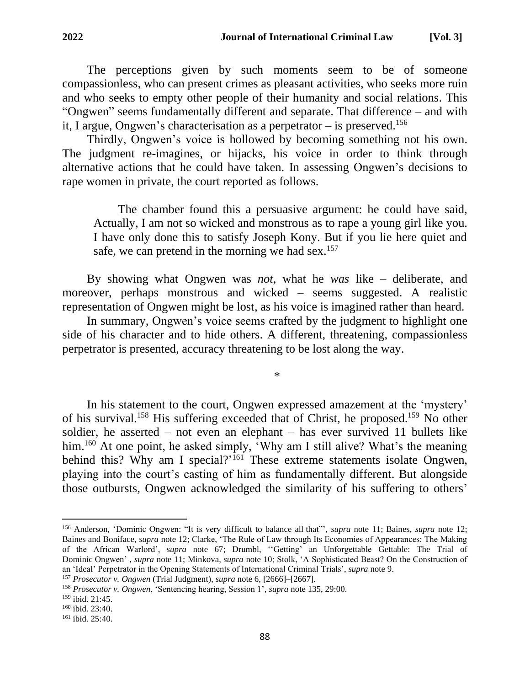Thirdly, Ongwen's voice is hollowed by becoming something not his own. The judgment re-imagines, or hijacks, his voice in order to think through alternative actions that he could have taken. In assessing Ongwen's decisions to rape women in private, the court reported as follows.

The chamber found this a persuasive argument: he could have said, Actually, I am not so wicked and monstrous as to rape a young girl like you. I have only done this to satisfy Joseph Kony. But if you lie here quiet and safe, we can pretend in the morning we had sex.<sup>157</sup>

By showing what Ongwen was *not,* what he *was* like – deliberate, and moreover, perhaps monstrous and wicked – seems suggested. A realistic representation of Ongwen might be lost, as his voice is imagined rather than heard.

In summary, Ongwen's voice seems crafted by the judgment to highlight one side of his character and to hide others. A different, threatening, compassionless perpetrator is presented, accuracy threatening to be lost along the way.

\*

In his statement to the court, Ongwen expressed amazement at the 'mystery' of his survival.<sup>158</sup> His suffering exceeded that of Christ, he proposed.<sup>159</sup> No other soldier, he asserted – not even an elephant – has ever survived 11 bullets like him.<sup>160</sup> At one point, he asked simply, 'Why am I still alive? What's the meaning behind this? Why am I special?'<sup>161</sup> These extreme statements isolate Ongwen, playing into the court's casting of him as fundamentally different. But alongside those outbursts, Ongwen acknowledged the similarity of his suffering to others'

<sup>156</sup> Anderson, 'Dominic Ongwen: "It is very difficult to balance all that"', *supra* note 11; Baines, *supra* note 12; Baines and Boniface, *supra* note 12; Clarke, 'The Rule of Law through Its Economies of Appearances: The Making of the African Warlord', *supra* note 67; Drumbl, ''Getting' an Unforgettable Gettable: The Trial of Dominic Ongwen' , *supra* note 11; Minkova, *supra* note 10; Stolk, 'A Sophisticated Beast? On the Construction of an 'Ideal' Perpetrator in the Opening Statements of International Criminal Trials', *supra* note 9.

<sup>157</sup> *Prosecutor v. Ongwen* (Trial Judgment), *supra* note 6, [2666]–[2667].

<sup>158</sup> *Prosecutor v. Ongwen*, 'Sentencing hearing, Session 1', *supra* note 135, 29:00.

<sup>159</sup> ibid. 21:45.

<sup>160</sup> ibid. 23:40.

<sup>161</sup> ibid. 25:40.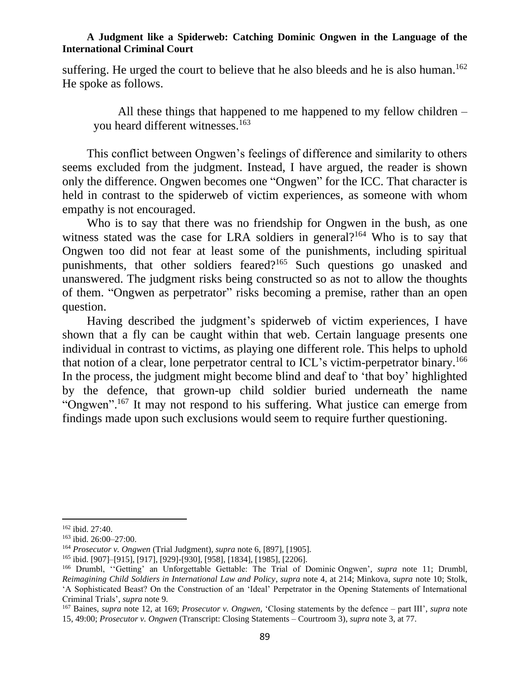suffering. He urged the court to believe that he also bleeds and he is also human.<sup>162</sup> He spoke as follows.

All these things that happened to me happened to my fellow children – you heard different witnesses.<sup>163</sup>

This conflict between Ongwen's feelings of difference and similarity to others seems excluded from the judgment. Instead, I have argued, the reader is shown only the difference. Ongwen becomes one "Ongwen" for the ICC. That character is held in contrast to the spiderweb of victim experiences, as someone with whom empathy is not encouraged.

Who is to say that there was no friendship for Ongwen in the bush, as one witness stated was the case for LRA soldiers in general?<sup>164</sup> Who is to say that Ongwen too did not fear at least some of the punishments, including spiritual punishments, that other soldiers feared?<sup>165</sup> Such questions go unasked and unanswered. The judgment risks being constructed so as not to allow the thoughts of them. "Ongwen as perpetrator" risks becoming a premise, rather than an open question.

Having described the judgment's spiderweb of victim experiences, I have shown that a fly can be caught within that web. Certain language presents one individual in contrast to victims, as playing one different role. This helps to uphold that notion of a clear, lone perpetrator central to ICL's victim-perpetrator binary.<sup>166</sup> In the process, the judgment might become blind and deaf to 'that boy' highlighted by the defence, that grown-up child soldier buried underneath the name "Ongwen".<sup>167</sup> It may not respond to his suffering. What justice can emerge from findings made upon such exclusions would seem to require further questioning.

<sup>162</sup> ibid. 27:40.

<sup>163</sup> ibid. 26:00–27:00.

<sup>164</sup> *Prosecutor v. Ongwen* (Trial Judgment), *supra* note 6, [897], [1905].

<sup>165</sup> ibid. [907]–[915], [917], [929]-[930], [958], [1834], [1985], [2206].

<sup>166</sup> Drumbl, ''Getting' an Unforgettable Gettable: The Trial of Dominic Ongwen', *supra* note 11; Drumbl, *Reimagining Child Soldiers in International Law and Policy, supra* note 4, at 214; Minkova, *supra* note 10; Stolk, 'A Sophisticated Beast? On the Construction of an 'Ideal' Perpetrator in the Opening Statements of International Criminal Trials', *supra* note 9.

<sup>167</sup> Baines, *supra* note 12, at 169; *Prosecutor v. Ongwen,* 'Closing statements by the defence – part III', *supra* note 15, 49:00; *Prosecutor v. Ongwen* (Transcript: Closing Statements – Courtroom 3), *supra* note 3, at 77.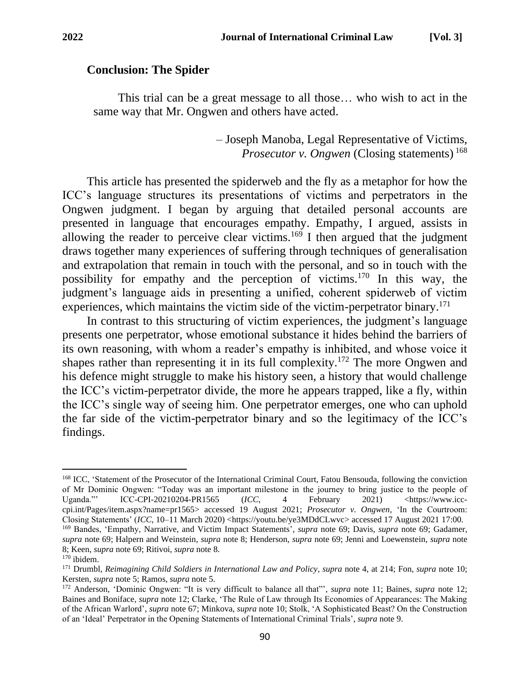### **Conclusion: The Spider**

This trial can be a great message to all those… who wish to act in the same way that Mr. Ongwen and others have acted.

> – Joseph Manoba, Legal Representative of Victims, *Prosecutor v. Ongwen* (Closing statements) 168

This article has presented the spiderweb and the fly as a metaphor for how the ICC's language structures its presentations of victims and perpetrators in the Ongwen judgment. I began by arguing that detailed personal accounts are presented in language that encourages empathy. Empathy, I argued, assists in allowing the reader to perceive clear victims.<sup>169</sup> I then argued that the judgment draws together many experiences of suffering through techniques of generalisation and extrapolation that remain in touch with the personal, and so in touch with the possibility for empathy and the perception of victims.<sup>170</sup> In this way, the judgment's language aids in presenting a unified, coherent spiderweb of victim experiences, which maintains the victim side of the victim-perpetrator binary.<sup>171</sup>

In contrast to this structuring of victim experiences, the judgment's language presents one perpetrator, whose emotional substance it hides behind the barriers of its own reasoning, with whom a reader's empathy is inhibited, and whose voice it shapes rather than representing it in its full complexity.<sup>172</sup> The more Ongwen and his defence might struggle to make his history seen, a history that would challenge the ICC's victim-perpetrator divide, the more he appears trapped, like a fly, within the ICC's single way of seeing him. One perpetrator emerges, one who can uphold the far side of the victim-perpetrator binary and so the legitimacy of the ICC's findings.

<sup>168</sup> ICC, 'Statement of the Prosecutor of the International Criminal Court, Fatou Bensouda, following the conviction of Mr Dominic Ongwen: "Today was an important milestone in the journey to bring justice to the people of Uganda."' ICC-CPI-20210204-PR1565 (*ICC*, 4 February 2021) <https://www.icccpi.int/Pages/item.aspx?name=pr1565> accessed 19 August 2021; *Prosecutor v. Ongwen*, 'In the Courtroom: Closing Statements' (*ICC,* 10–11 March 2020) <https://youtu.be/ye3MDdCLwvc> accessed 17 August 2021 17:00.

<sup>169</sup> Bandes, 'Empathy, Narrative, and Victim Impact Statements', *supra* note 69; Davis, *supra* note 69; Gadamer, *supra* note 69; Halpern and Weinstein, *supra* note 8; Henderson, *supra* note 69; Jenni and Loewenstein, *supra* note 8; Keen, *supra* note 69; Ritivoi, *supra* note 8.

 $170$  ibidem.

<sup>171</sup> Drumbl, *Reimagining Child Soldiers in International Law and Policy, supra* note 4, at 214; Fon, *supra* note 10; Kersten, *supra* note 5; Ramos, *supra* note 5.

<sup>172</sup> Anderson, 'Dominic Ongwen: "It is very difficult to balance all that"', *supra* note 11; Baines, *supra* note 12; Baines and Boniface, *supra* note 12; Clarke, 'The Rule of Law through Its Economies of Appearances: The Making of the African Warlord', *supra* note 67; Minkova, *supra* note 10; Stolk, 'A Sophisticated Beast? On the Construction of an 'Ideal' Perpetrator in the Opening Statements of International Criminal Trials', *supra* note 9.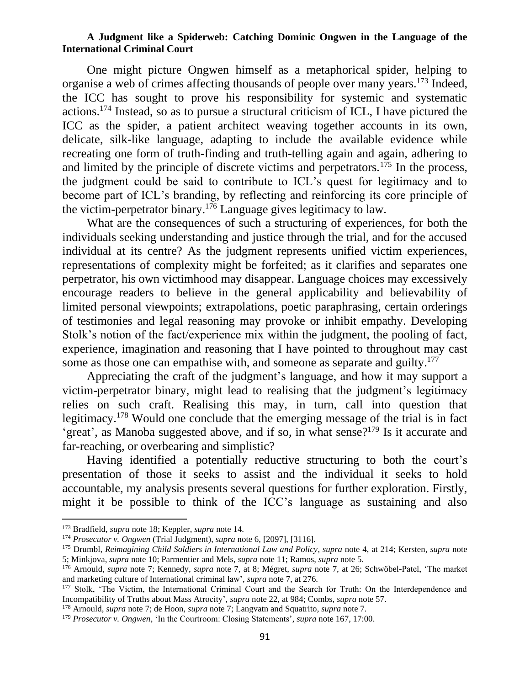One might picture Ongwen himself as a metaphorical spider, helping to organise a web of crimes affecting thousands of people over many years.<sup>173</sup> Indeed, the ICC has sought to prove his responsibility for systemic and systematic actions.<sup>174</sup> Instead, so as to pursue a structural criticism of ICL, I have pictured the ICC as the spider, a patient architect weaving together accounts in its own, delicate, silk-like language, adapting to include the available evidence while recreating one form of truth-finding and truth-telling again and again, adhering to and limited by the principle of discrete victims and perpetrators.<sup>175</sup> In the process, the judgment could be said to contribute to ICL's quest for legitimacy and to become part of ICL's branding, by reflecting and reinforcing its core principle of the victim-perpetrator binary.<sup>176</sup> Language gives legitimacy to law.

What are the consequences of such a structuring of experiences, for both the individuals seeking understanding and justice through the trial, and for the accused individual at its centre? As the judgment represents unified victim experiences, representations of complexity might be forfeited; as it clarifies and separates one perpetrator, his own victimhood may disappear. Language choices may excessively encourage readers to believe in the general applicability and believability of limited personal viewpoints; extrapolations, poetic paraphrasing, certain orderings of testimonies and legal reasoning may provoke or inhibit empathy. Developing Stolk's notion of the fact/experience mix within the judgment, the pooling of fact, experience, imagination and reasoning that I have pointed to throughout may cast some as those one can empathise with, and someone as separate and guilty.<sup>177</sup>

Appreciating the craft of the judgment's language, and how it may support a victim-perpetrator binary, might lead to realising that the judgment's legitimacy relies on such craft. Realising this may, in turn, call into question that legitimacy.<sup>178</sup> Would one conclude that the emerging message of the trial is in fact 'great', as Manoba suggested above, and if so, in what sense?<sup>179</sup> Is it accurate and far-reaching, or overbearing and simplistic?

Having identified a potentially reductive structuring to both the court's presentation of those it seeks to assist and the individual it seeks to hold accountable, my analysis presents several questions for further exploration. Firstly, might it be possible to think of the ICC's language as sustaining and also

<sup>178</sup> Arnould, *supra* note 7; de Hoon, *supra* note 7; Langvatn and Squatrito, *supra* note 7.

<sup>173</sup> Bradfield, *supra* note 18; Keppler, *supra* note 14.

<sup>174</sup> *Prosecutor v. Ongwen* (Trial Judgment)*, supra* note 6, [2097], [3116].

<sup>175</sup> Drumbl, *Reimagining Child Soldiers in International Law and Policy, supra* note 4, at 214; Kersten, *supra* note 5; Minkjova, *supra* note 10; Parmentier and Mels, *supra* note 11; Ramos, *supra* note 5.

<sup>176</sup> Arnould, *supra* note 7; Kennedy, *supra* note 7, at 8; Mégret, *supra* note 7, at 26; Schwöbel-Patel, 'The market and marketing culture of International criminal law', *supra* note 7, at 276.

<sup>&</sup>lt;sup>177</sup> Stolk, 'The Victim, the International Criminal Court and the Search for Truth: On the Interdependence and Incompatibility of Truths about Mass Atrocity', *supra* note 22, at 984; Combs, *supra* note 57.

<sup>179</sup> *Prosecutor v. Ongwen*, 'In the Courtroom: Closing Statements', *supra* note 167, 17:00.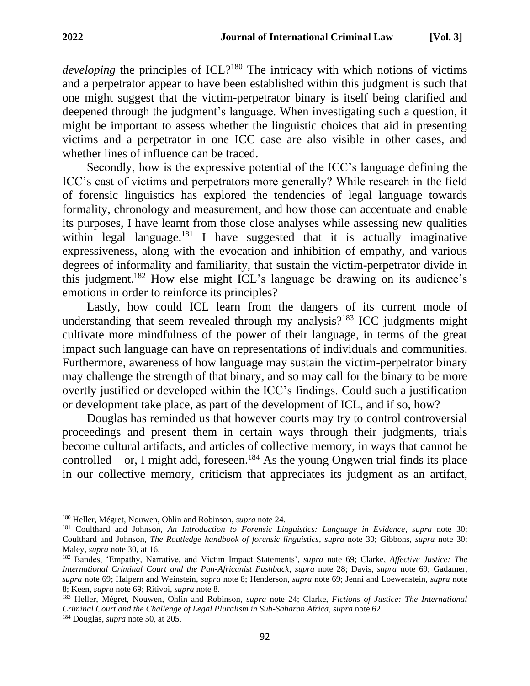*developing* the principles of ICL?<sup>180</sup> The intricacy with which notions of victims and a perpetrator appear to have been established within this judgment is such that one might suggest that the victim-perpetrator binary is itself being clarified and deepened through the judgment's language. When investigating such a question, it might be important to assess whether the linguistic choices that aid in presenting victims and a perpetrator in one ICC case are also visible in other cases, and whether lines of influence can be traced.

Secondly, how is the expressive potential of the ICC's language defining the ICC's cast of victims and perpetrators more generally? While research in the field of forensic linguistics has explored the tendencies of legal language towards formality, chronology and measurement, and how those can accentuate and enable its purposes, I have learnt from those close analyses while assessing new qualities within legal language.<sup>181</sup> I have suggested that it is actually imaginative expressiveness, along with the evocation and inhibition of empathy, and various degrees of informality and familiarity, that sustain the victim-perpetrator divide in this judgment. <sup>182</sup> How else might ICL's language be drawing on its audience's emotions in order to reinforce its principles?

Lastly, how could ICL learn from the dangers of its current mode of understanding that seem revealed through my analysis?<sup>183</sup> ICC judgments might cultivate more mindfulness of the power of their language, in terms of the great impact such language can have on representations of individuals and communities. Furthermore, awareness of how language may sustain the victim-perpetrator binary may challenge the strength of that binary, and so may call for the binary to be more overtly justified or developed within the ICC's findings. Could such a justification or development take place, as part of the development of ICL, and if so, how?

Douglas has reminded us that however courts may try to control controversial proceedings and present them in certain ways through their judgments, trials become cultural artifacts, and articles of collective memory, in ways that cannot be controlled – or, I might add, foreseen.<sup>184</sup> As the young Ongwen trial finds its place in our collective memory, criticism that appreciates its judgment as an artifact,

<sup>180</sup> Heller, Mégret, Nouwen, Ohlin and Robinson, *supra* note 24.

<sup>181</sup> Coulthard and Johnson, *An Introduction to Forensic Linguistics: Language in Evidence, supra* note 30; Coulthard and Johnson, *The Routledge handbook of forensic linguistics, supra* note 30; Gibbons, *supra* note 30; Maley, *supra* note 30, at 16.

<sup>182</sup> Bandes, 'Empathy, Narrative, and Victim Impact Statements', *supra* note 69; Clarke, *Affective Justice: The International Criminal Court and the Pan-Africanist Pushback*, *supra* note 28; Davis, *supra* note 69; Gadamer, *supra* note 69; Halpern and Weinstein, *supra* note 8; Henderson, *supra* note 69; Jenni and Loewenstein, *supra* note 8; Keen, *supra* note 69; Ritivoi, *supra* note 8.

<sup>183</sup> Heller, Mégret, Nouwen, Ohlin and Robinson, *supra* note 24; Clarke, *Fictions of Justice: The International Criminal Court and the Challenge of Legal Pluralism in Sub-Saharan Africa*, *supra* note 62.

<sup>184</sup> Douglas, *supra* note 50, at 205.